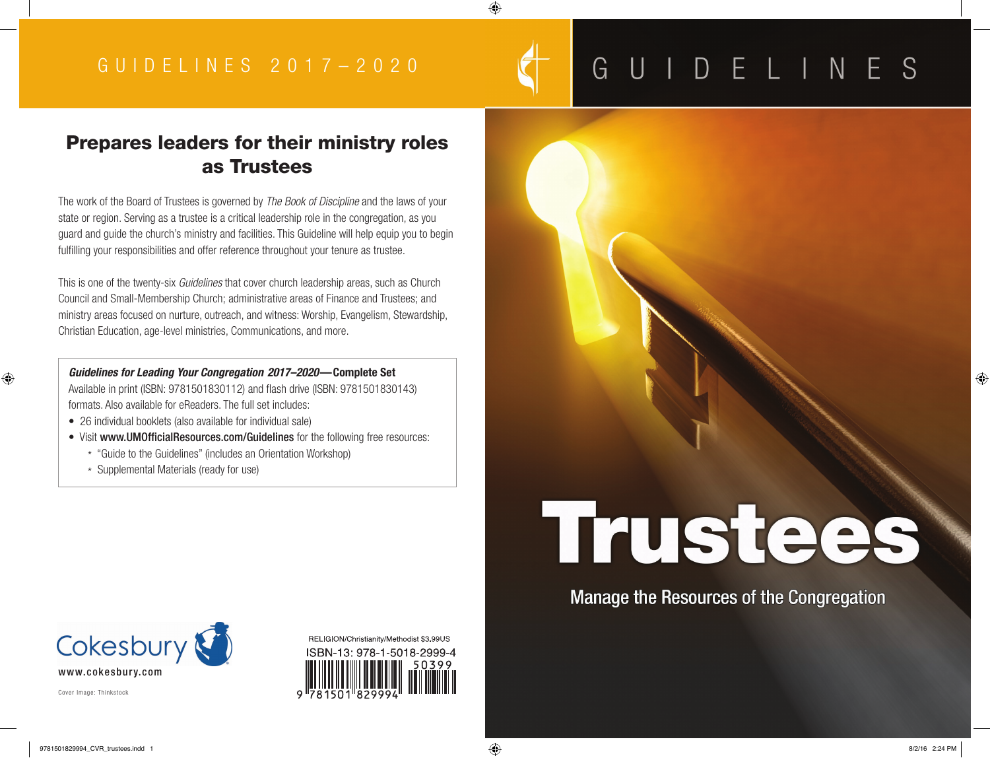## GUIDELINES

# Trustees

**Manage the Resources of the Congregation**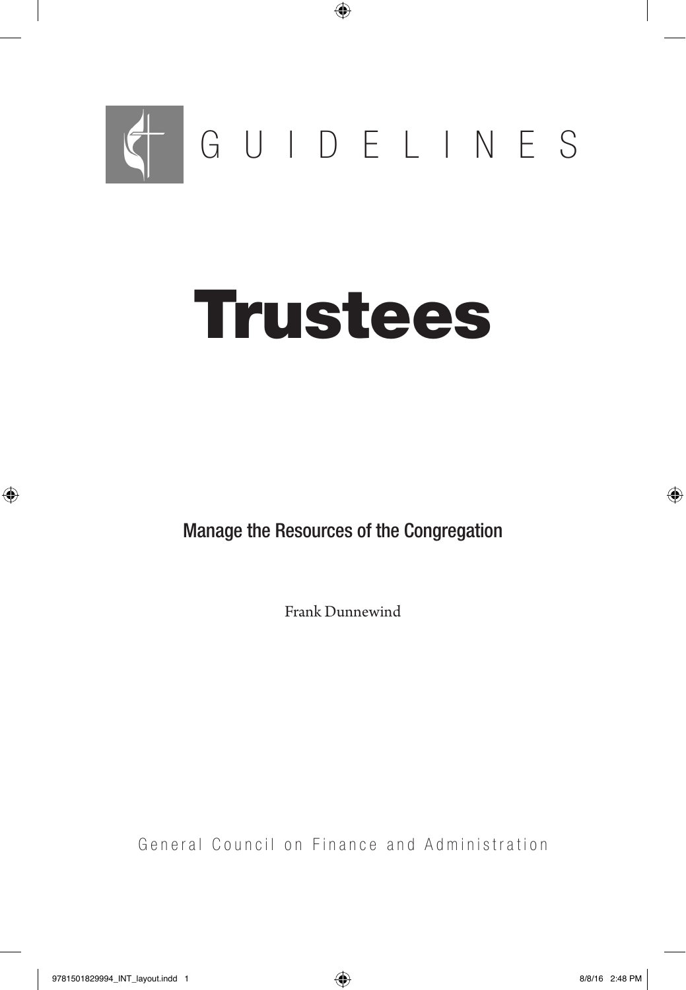

## Trustees

Manage the Resources of the Congregation

Frank Dunnewind

General Council on Finance and Administration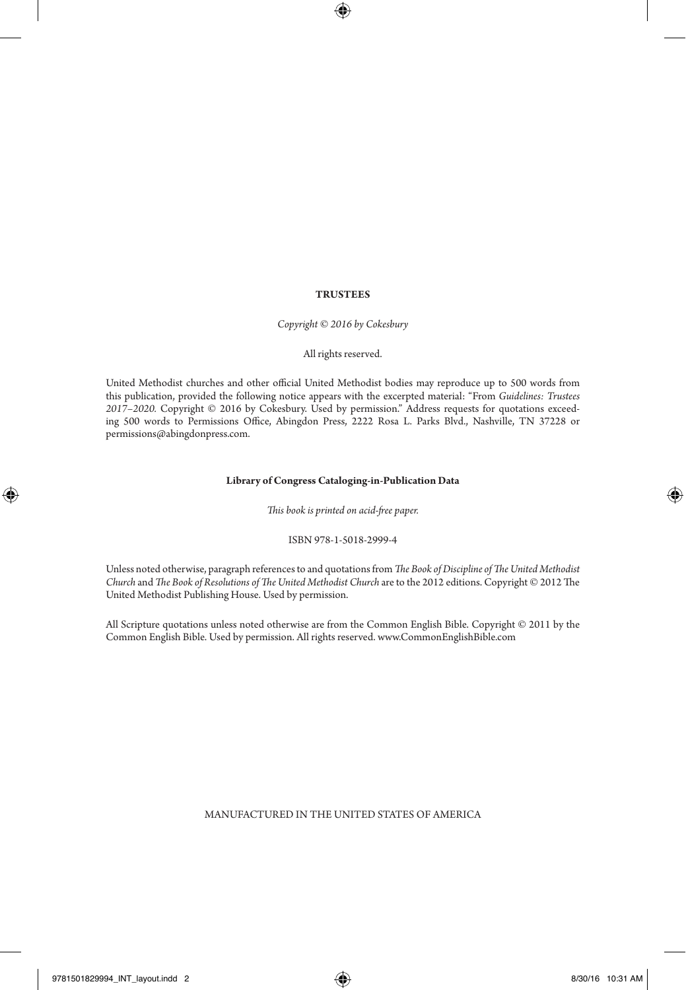#### **TRUSTEES**

*Copyright © 2016 by Cokesbury*

#### All rights reserved.

United Methodist churches and other official United Methodist bodies may reproduce up to 500 words from this publication, provided the following notice appears with the excerpted material: "From *Guidelines: Trustees 2017–2020.* Copyright © 2016 by Cokesbury. Used by permission." Address requests for quotations exceeding 500 words to Permissions Office, Abingdon Press, 2222 Rosa L. Parks Blvd., Nashville, TN 37228 or permissions@abingdonpress.com.

#### **Library of Congress Cataloging-in-Publication Data**

*This book is printed on acid-free paper.*

#### ISBN 978-1-5018-2999-4

Unless noted otherwise, paragraph references to and quotations from *The Book of Discipline of The United Methodist Church* and *The Book of Resolutions of The United Methodist Church* are to the 2012 editions. Copyright © 2012 The United Methodist Publishing House. Used by permission.

All Scripture quotations unless noted otherwise are from the Common English Bible. Copyright © 2011 by the Common English Bible. Used by permission. All rights reserved. www.CommonEnglishBible.com

#### MANUFACTURED IN THE UNITED STATES OF AMERICA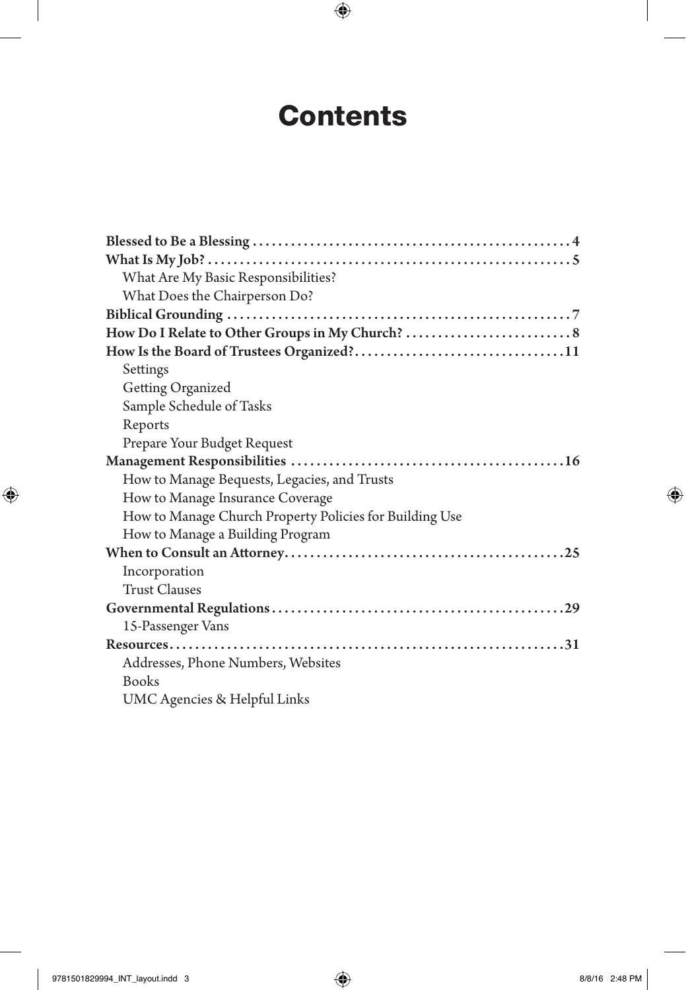## **Contents**

| What Are My Basic Responsibilities?                     |  |
|---------------------------------------------------------|--|
| What Does the Chairperson Do?                           |  |
|                                                         |  |
|                                                         |  |
|                                                         |  |
| Settings                                                |  |
| Getting Organized                                       |  |
| Sample Schedule of Tasks                                |  |
| Reports                                                 |  |
| Prepare Your Budget Request                             |  |
|                                                         |  |
| How to Manage Bequests, Legacies, and Trusts            |  |
| How to Manage Insurance Coverage                        |  |
| How to Manage Church Property Policies for Building Use |  |
| How to Manage a Building Program                        |  |
|                                                         |  |
| Incorporation                                           |  |
| <b>Trust Clauses</b>                                    |  |
|                                                         |  |
| 15-Passenger Vans                                       |  |
|                                                         |  |
| Addresses, Phone Numbers, Websites                      |  |
| <b>Books</b>                                            |  |
| UMC Agencies & Helpful Links                            |  |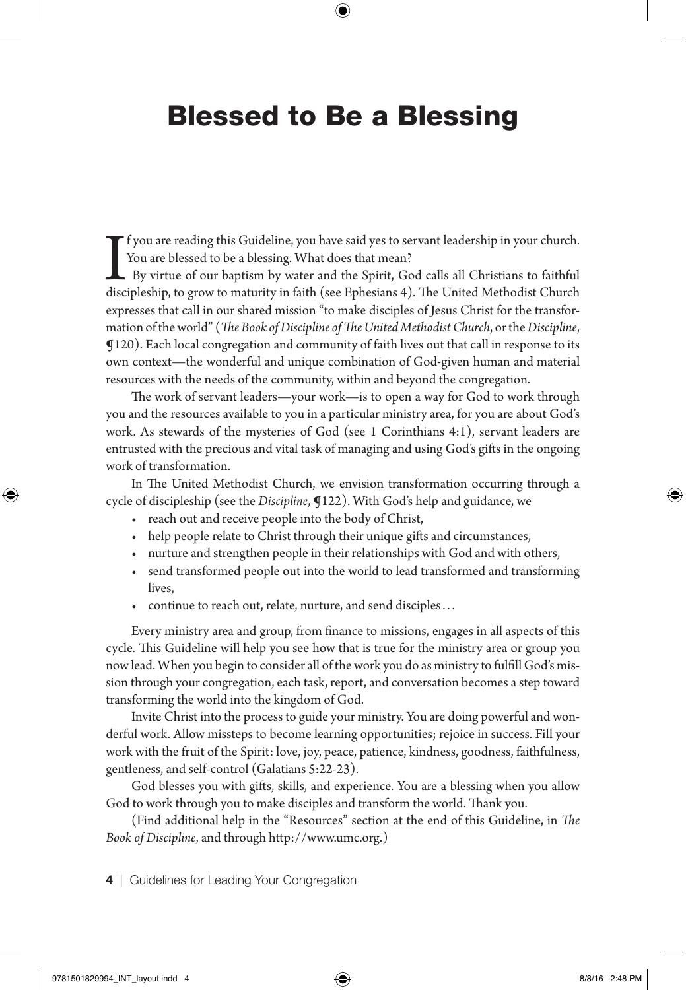## Blessed to Be a Blessing

I<br>disc f you are reading this Guideline, you have said yes to servant leadership in your church. You are blessed to be a blessing. What does that mean? By virtue of our baptism by water and the Spirit, God calls all Christians to faithful discipleship, to grow to maturity in faith (see Ephesians 4). The United Methodist Church expresses that call in our shared mission "to make disciples of Jesus Christ for the transformation of the world" (*The Book of Discipline of The United Methodist Church*, orthe *Discipline*, ¶120). Each local congregation and community of faith lives out that call in response to its own context—the wonderful and unique combination of God-given human and material resources with the needs of the community, within and beyond the congregation.

The work of servant leaders—your work—is to open a way for God to work through you and the resources available to you in a particular ministry area, for you are about God's work. As stewards of the mysteries of God (see 1 Corinthians 4:1), servant leaders are entrusted with the precious and vital task of managing and using God's gifts in the ongoing work of transformation.

In The United Methodist Church, we envision transformation occurring through a cycle of discipleship (see the *Discipline*, ¶122). With God's help and guidance, we

- reach out and receive people into the body of Christ,
- help people relate to Christ through their unique gifts and circumstances,
- nurture and strengthen people in their relationships with God and with others,
- send transformed people out into the world to lead transformed and transforming lives,
- continue to reach out, relate, nurture, and send disciples. . .

Every ministry area and group, from finance to missions, engages in all aspects of this cycle. This Guideline will help you see how that is true for the ministry area or group you now lead. When you begin to consider all of the work you do as ministry to fulfill God's mission through your congregation, each task, report, and conversation becomes a step toward transforming the world into the kingdom of God.

Invite Christ into the process to guide your ministry. You are doing powerful and wonderful work. Allow missteps to become learning opportunities; rejoice in success. Fill your work with the fruit of the Spirit: love, joy, peace, patience, kindness, goodness, faithfulness, gentleness, and self-control (Galatians 5:22-23).

God blesses you with gifts, skills, and experience. You are a blessing when you allow God to work through you to make disciples and transform the world. Thank you.

(Find additional help in the "Resources" section at the end of this Guideline, in *The Book of Discipline*, and through http://www.umc.org.)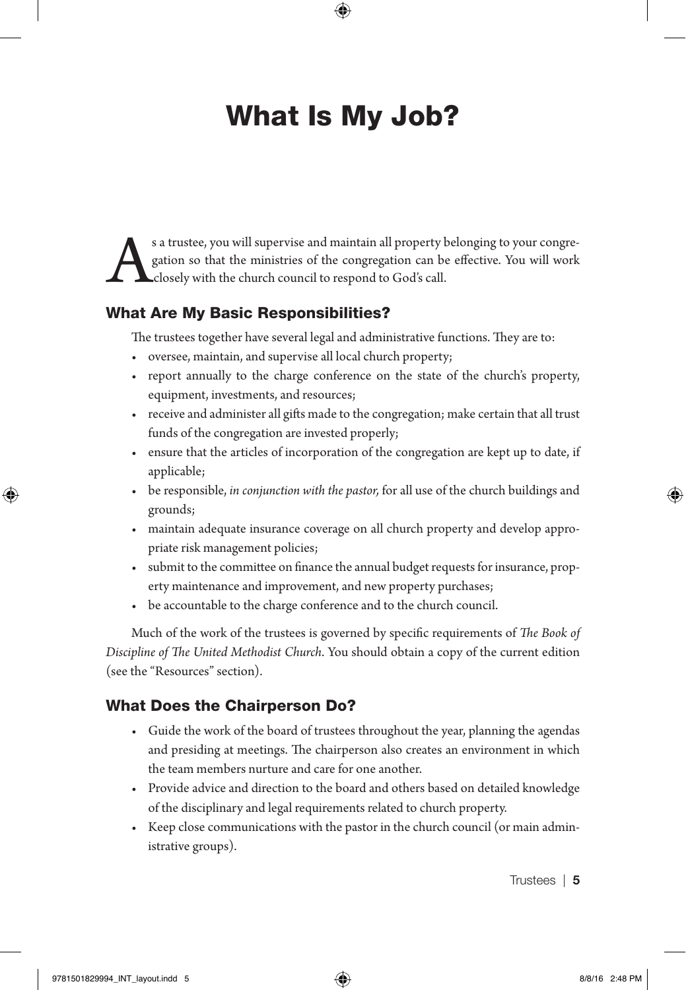## What Is My Job?

Solution so that the ministries of the congregation can be effective. You will work closely with the church council to respond to God's call. gation so that the ministries of the congregation can be effective. You will work closely with the church council to respond to God's call.

#### What Are My Basic Responsibilities?

The trustees together have several legal and administrative functions. They are to:

- oversee, maintain, and supervise all local church property;
- report annually to the charge conference on the state of the church's property, equipment, investments, and resources;
- receive and administer all gifts made to the congregation; make certain that all trust funds of the congregation are invested properly;
- ensure that the articles of incorporation of the congregation are kept up to date, if applicable;
- be responsible, *in conjunction with the pastor,* for all use of the church buildings and grounds;
- maintain adequate insurance coverage on all church property and develop appropriate risk management policies;
- submit to the committee on finance the annual budget requests for insurance, property maintenance and improvement, and new property purchases;
- be accountable to the charge conference and to the church council.

Much of the work of the trustees is governed by specific requirements of *The Book of Discipline of The United Methodist Church*. You should obtain a copy of the current edition (see the "Resources" section).

#### What Does the Chairperson Do?

- Guide the work of the board of trustees throughout the year, planning the agendas and presiding at meetings. The chairperson also creates an environment in which the team members nurture and care for one another.
- Provide advice and direction to the board and others based on detailed knowledge of the disciplinary and legal requirements related to church property.
- Keep close communications with the pastor in the church council (or main administrative groups).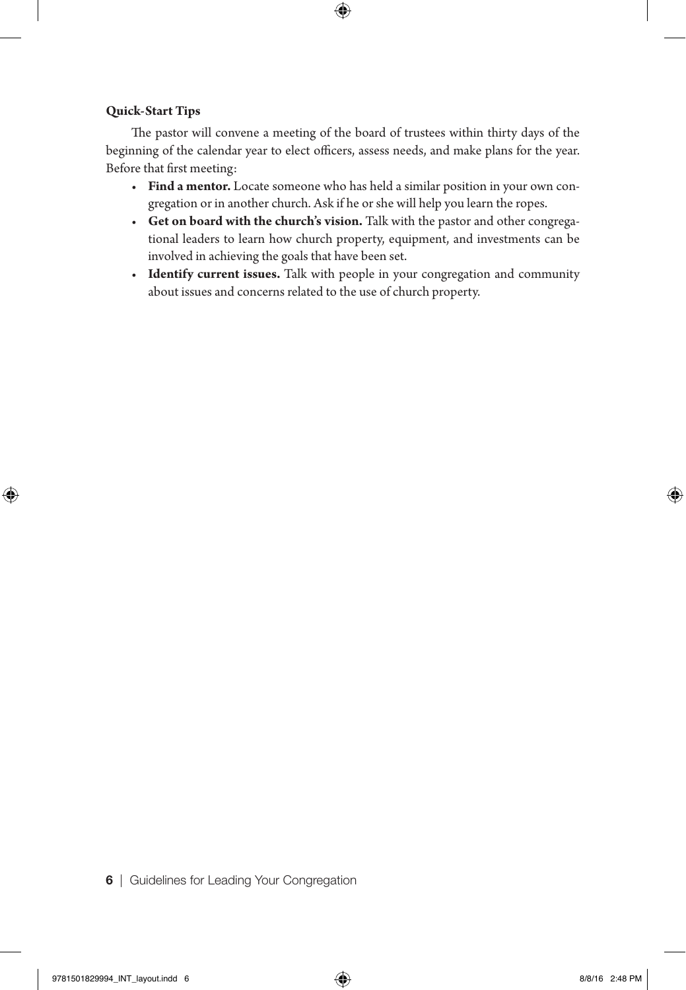#### **Quick-Start Tips**

The pastor will convene a meeting of the board of trustees within thirty days of the beginning of the calendar year to elect officers, assess needs, and make plans for the year. Before that first meeting:

- **Find a mentor.** Locate someone who has held a similar position in your own congregation or in another church. Ask if he or she will help you learn the ropes.
- **Get on board with the church's vision.** Talk with the pastor and other congregational leaders to learn how church property, equipment, and investments can be involved in achieving the goals that have been set.
- **Identify current issues.** Talk with people in your congregation and community about issues and concerns related to the use of church property.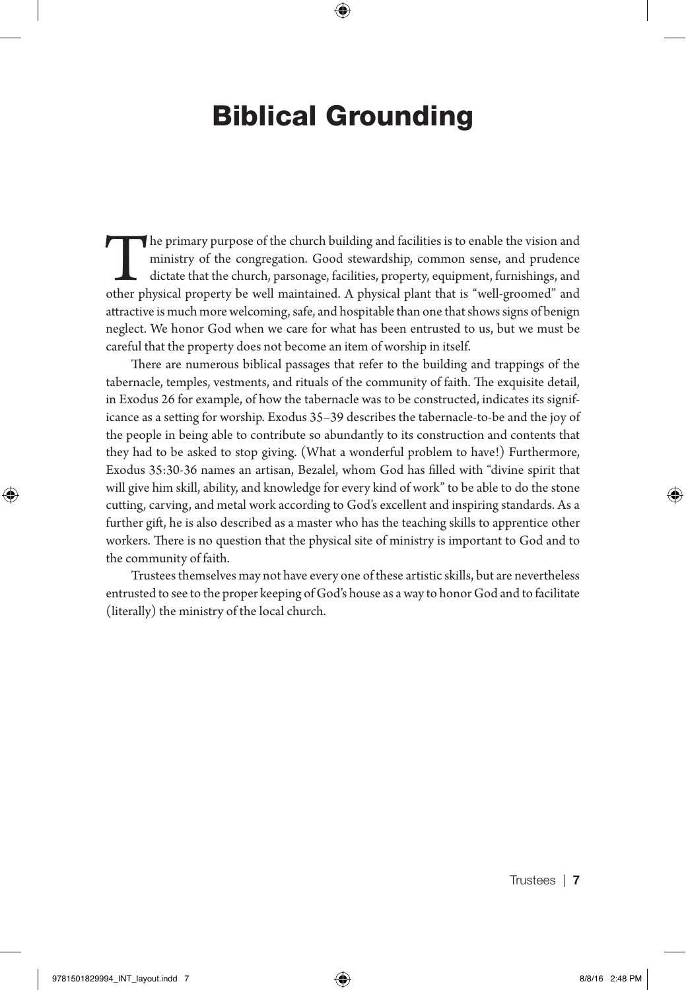## Biblical Grounding

The primary purpose of the church building and facilities is to enable the vision and ministry of the congregation. Good stewardship, common sense, and prudence dictate that the church, parsonage, facilities, property, equipment, furnishings, and other physical property be well maintained. A physical plant that is "well-groomed" and attractive is much more welcoming, safe, and hospitable than one that shows signs of benign neglect. We honor God when we care for what has been entrusted to us, but we must be careful that the property does not become an item of worship in itself.

There are numerous biblical passages that refer to the building and trappings of the tabernacle, temples, vestments, and rituals of the community of faith. The exquisite detail, in Exodus 26 for example, of how the tabernacle was to be constructed, indicates its significance as a setting for worship. Exodus 35–39 describes the tabernacle-to-be and the joy of the people in being able to contribute so abundantly to its construction and contents that they had to be asked to stop giving. (What a wonderful problem to have!) Furthermore, Exodus 35:30-36 names an artisan, Bezalel, whom God has filled with "divine spirit that will give him skill, ability, and knowledge for every kind of work" to be able to do the stone cutting, carving, and metal work according to God's excellent and inspiring standards. As a further gift, he is also described as a master who has the teaching skills to apprentice other workers. There is no question that the physical site of ministry is important to God and to the community of faith.

Trustees themselves may not have every one of these artistic skills, but are nevertheless entrusted to see to the proper keeping of God's house as a way to honor God and to facilitate (literally) the ministry of the local church.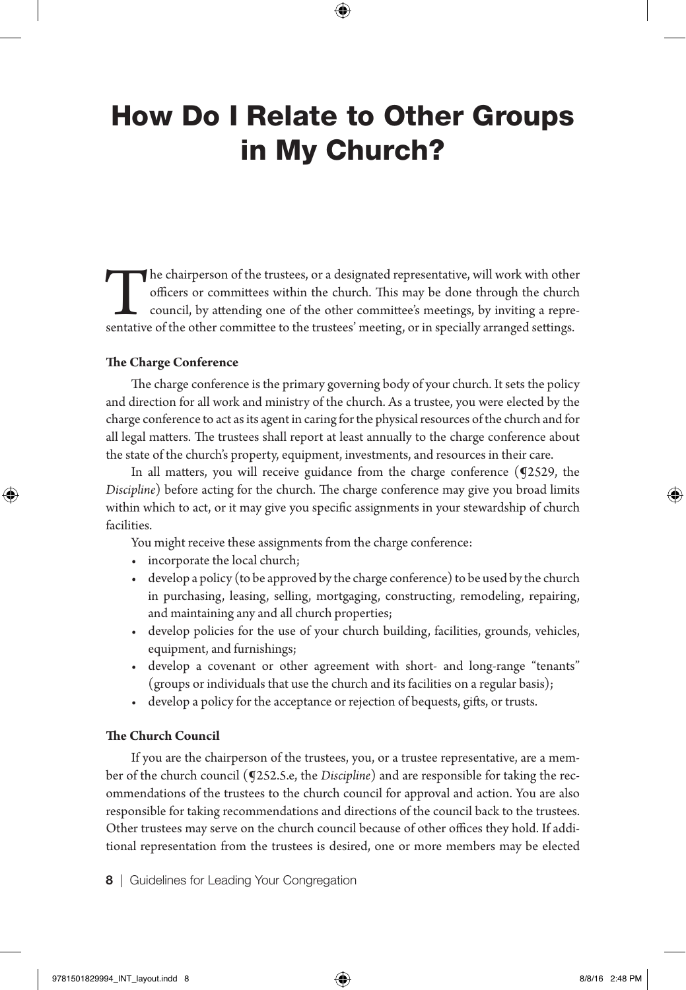## How Do I Relate to Other Groups in My Church?

The chairperson of the trustees, or a designated representative, will work with other officers or committees within the church. This may be done through the church council, by attending one of the other committee's meeting officers or committees within the church. This may be done through the church council, by attending one of the other committee's meetings, by inviting a representative of the other committee to the trustees' meeting, or in specially arranged settings.

#### **The Charge Conference**

The charge conference is the primary governing body of your church. It sets the policy and direction for all work and ministry of the church. As a trustee, you were elected by the charge conference to act as its agent in caring for the physical resources of the church and for all legal matters. The trustees shall report at least annually to the charge conference about the state of the church's property, equipment, investments, and resources in their care.

In all matters, you will receive guidance from the charge conference (¶2529, the *Discipline*) before acting for the church. The charge conference may give you broad limits within which to act, or it may give you specific assignments in your stewardship of church facilities.

You might receive these assignments from the charge conference:

- incorporate the local church;
- develop a policy (to be approved by the charge conference) to be used by the church in purchasing, leasing, selling, mortgaging, constructing, remodeling, repairing, and maintaining any and all church properties;
- develop policies for the use of your church building, facilities, grounds, vehicles, equipment, and furnishings;
- develop a covenant or other agreement with short- and long-range "tenants" (groups or individuals that use the church and its facilities on a regular basis);
- develop a policy for the acceptance or rejection of bequests, gifts, or trusts.

#### **The Church Council**

If you are the chairperson of the trustees, you, or a trustee representative, are a member of the church council (¶252.5.e, the *Discipline*) and are responsible for taking the recommendations of the trustees to the church council for approval and action. You are also responsible for taking recommendations and directions of the council back to the trustees. Other trustees may serve on the church council because of other offices they hold. If additional representation from the trustees is desired, one or more members may be elected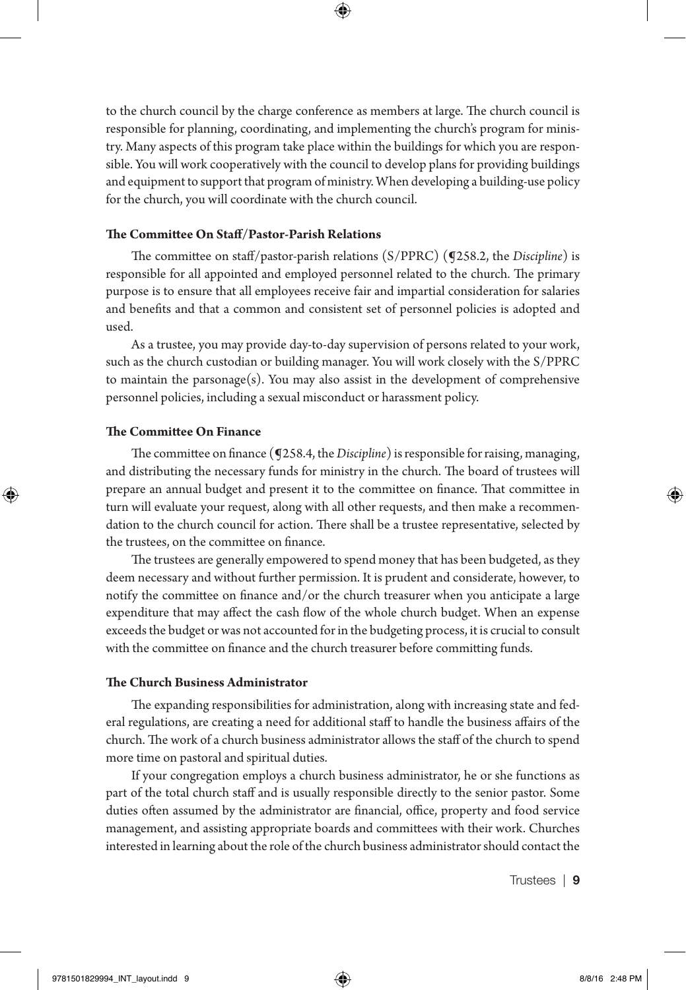to the church council by the charge conference as members at large. The church council is responsible for planning, coordinating, and implementing the church's program for ministry. Many aspects of this program take place within the buildings for which you are responsible. You will work cooperatively with the council to develop plans for providing buildings and equipment to support that program of ministry. When developing a building-use policy for the church, you will coordinate with the church council.

#### **The Committee On Staff/Pastor-Parish Relations**

The committee on staff/pastor-parish relations (S/PPRC) (¶258.2, the *Discipline*) is responsible for all appointed and employed personnel related to the church. The primary purpose is to ensure that all employees receive fair and impartial consideration for salaries and benefits and that a common and consistent set of personnel policies is adopted and used.

As a trustee, you may provide day-to-day supervision of persons related to your work, such as the church custodian or building manager. You will work closely with the S/PPRC to maintain the parsonage $(s)$ . You may also assist in the development of comprehensive personnel policies, including a sexual misconduct or harassment policy.

#### **The Committee On Finance**

The committee on finance (¶258.4, the *Discipline*) is responsible for raising, managing, and distributing the necessary funds for ministry in the church. The board of trustees will prepare an annual budget and present it to the committee on finance. That committee in turn will evaluate your request, along with all other requests, and then make a recommendation to the church council for action. There shall be a trustee representative, selected by the trustees, on the committee on finance.

The trustees are generally empowered to spend money that has been budgeted, as they deem necessary and without further permission. It is prudent and considerate, however, to notify the committee on finance and/or the church treasurer when you anticipate a large expenditure that may affect the cash flow of the whole church budget. When an expense exceeds the budget or was not accounted for in the budgeting process, it is crucial to consult with the committee on finance and the church treasurer before committing funds.

#### **The Church Business Administrator**

The expanding responsibilities for administration, along with increasing state and federal regulations, are creating a need for additional staff to handle the business affairs of the church. The work of a church business administrator allows the staff of the church to spend more time on pastoral and spiritual duties.

If your congregation employs a church business administrator, he or she functions as part of the total church staff and is usually responsible directly to the senior pastor. Some duties often assumed by the administrator are financial, office, property and food service management, and assisting appropriate boards and committees with their work. Churches interested in learning about the role of the church business administrator should contact the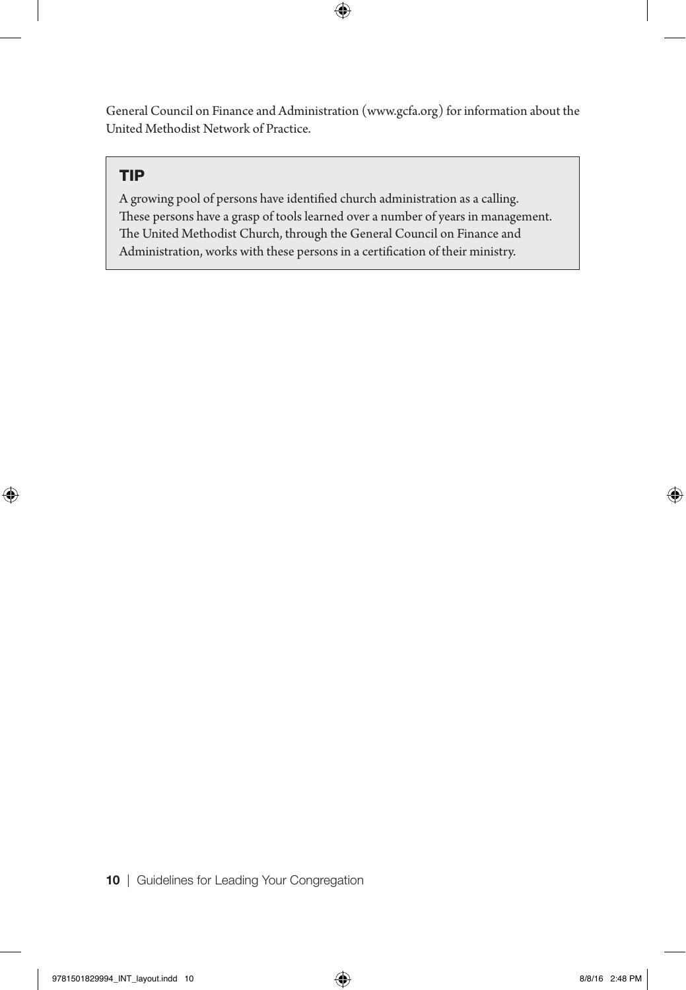General Council on Finance and Administration (www.gcfa.org) for information about the United Methodist Network of Practice.

#### TIP

A growing pool of persons have identified church administration as a calling. These persons have a grasp of tools learned over a number of years in management. The United Methodist Church, through the General Council on Finance and Administration, works with these persons in a certification of their ministry.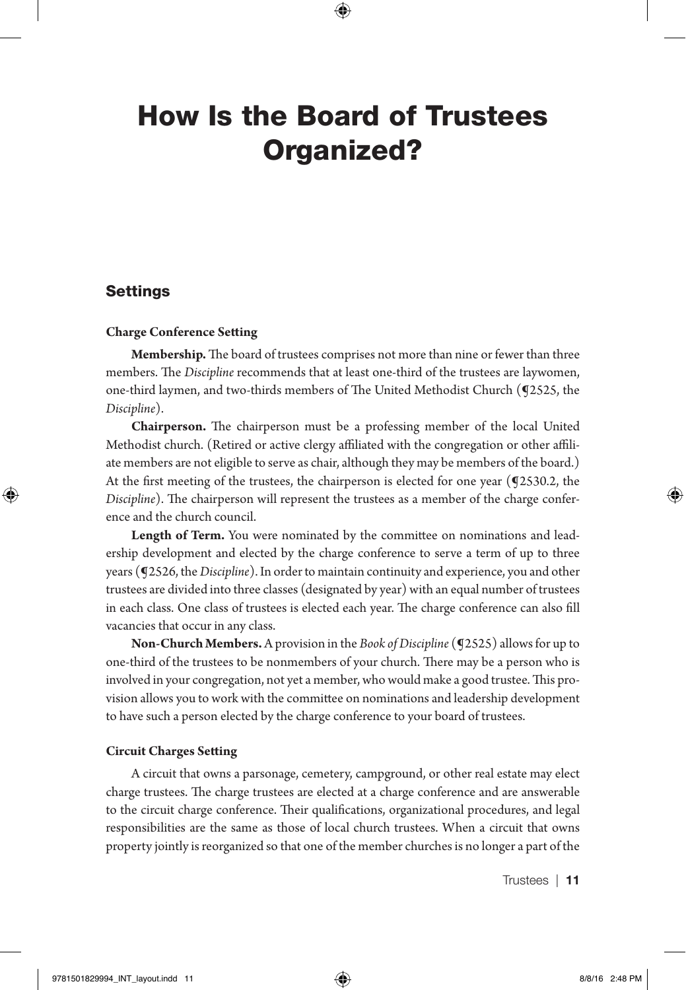## How Is the Board of Trustees Organized?

#### Settings

#### **Charge Conference Setting**

**Membership.** The board of trustees comprises not more than nine or fewer than three members. The *Discipline* recommends that at least one-third of the trustees are laywomen, one-third laymen, and two-thirds members of The United Methodist Church (¶2525, the *Discipline*).

**Chairperson.** The chairperson must be a professing member of the local United Methodist church. (Retired or active clergy affiliated with the congregation or other affiliate members are not eligible to serve as chair, although they may be members of the board.) At the first meeting of the trustees, the chairperson is elected for one year (¶2530.2, the *Discipline*). The chairperson will represent the trustees as a member of the charge conference and the church council.

**Length of Term.** You were nominated by the committee on nominations and leadership development and elected by the charge conference to serve a term of up to three years (¶2526, the *Discipline*). In order to maintain continuity and experience, you and other trustees are divided into three classes (designated by year) with an equal number of trustees in each class. One class of trustees is elected each year. The charge conference can also fill vacancies that occur in any class.

**Non-Church Members.** A provision in the *Book of Discipline* (**92525**) allows for up to one-third of the trustees to be nonmembers of your church. There may be a person who is involved in your congregation, not yet a member, who would make a good trustee. This provision allows you to work with the committee on nominations and leadership development to have such a person elected by the charge conference to your board of trustees.

#### **Circuit Charges Setting**

A circuit that owns a parsonage, cemetery, campground, or other real estate may elect charge trustees. The charge trustees are elected at a charge conference and are answerable to the circuit charge conference. Their qualifications, organizational procedures, and legal responsibilities are the same as those of local church trustees. When a circuit that owns property jointly is reorganized so that one of the member churches is no longer a part of the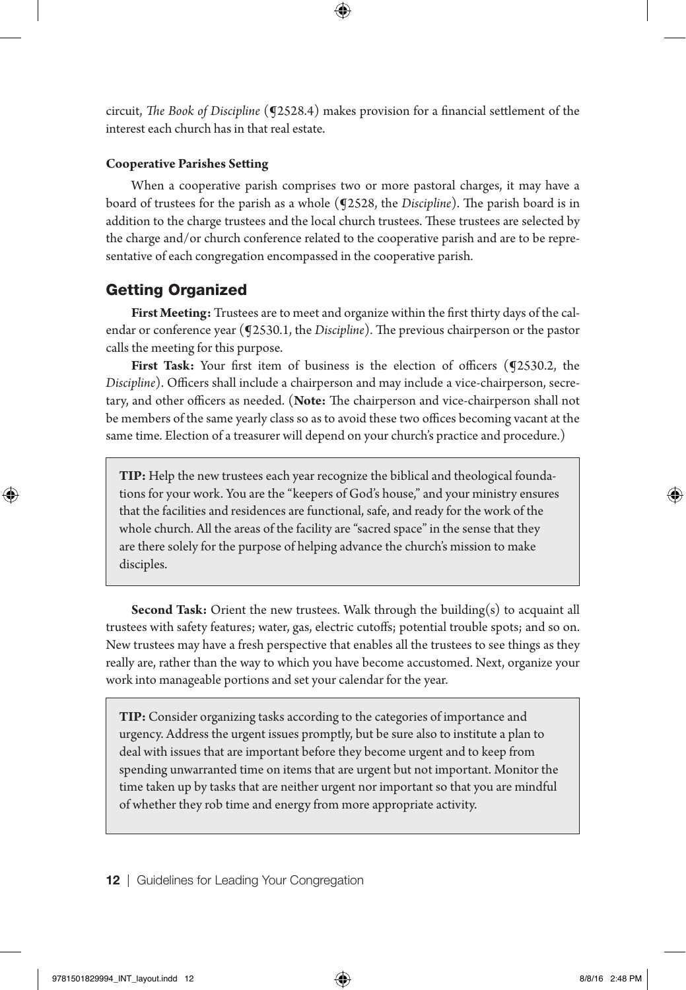circuit, *The Book of Discipline* (¶2528.4) makes provision for a financial settlement of the interest each church has in that real estate.

#### **Cooperative Parishes Setting**

When a cooperative parish comprises two or more pastoral charges, it may have a board of trustees for the parish as a whole (¶2528, the *Discipline*). The parish board is in addition to the charge trustees and the local church trustees. These trustees are selected by the charge and/or church conference related to the cooperative parish and are to be representative of each congregation encompassed in the cooperative parish.

#### Getting Organized

**First Meeting:** Trustees are to meet and organize within the first thirty days of the calendar or conference year (¶2530.1, the *Discipline*). The previous chairperson or the pastor calls the meeting for this purpose.

First Task: Your first item of business is the election of officers (92530.2, the *Discipline*). Officers shall include a chairperson and may include a vice-chairperson, secretary, and other officers as needed. (**Note:** The chairperson and vice-chairperson shall not be members of the same yearly class so as to avoid these two offices becoming vacant at the same time. Election of a treasurer will depend on your church's practice and procedure.)

**TIP:** Help the new trustees each year recognize the biblical and theological foundations for your work. You are the "keepers of God's house," and your ministry ensures that the facilities and residences are functional, safe, and ready for the work of the whole church. All the areas of the facility are "sacred space" in the sense that they are there solely for the purpose of helping advance the church's mission to make disciples.

**Second Task:** Orient the new trustees. Walk through the building(s) to acquaint all trustees with safety features; water, gas, electric cutoffs; potential trouble spots; and so on. New trustees may have a fresh perspective that enables all the trustees to see things as they really are, rather than the way to which you have become accustomed. Next, organize your work into manageable portions and set your calendar for the year.

**TIP:** Consider organizing tasks according to the categories of importance and urgency. Address the urgent issues promptly, but be sure also to institute a plan to deal with issues that are important before they become urgent and to keep from spending unwarranted time on items that are urgent but not important. Monitor the time taken up by tasks that are neither urgent nor important so that you are mindful of whether they rob time and energy from more appropriate activity.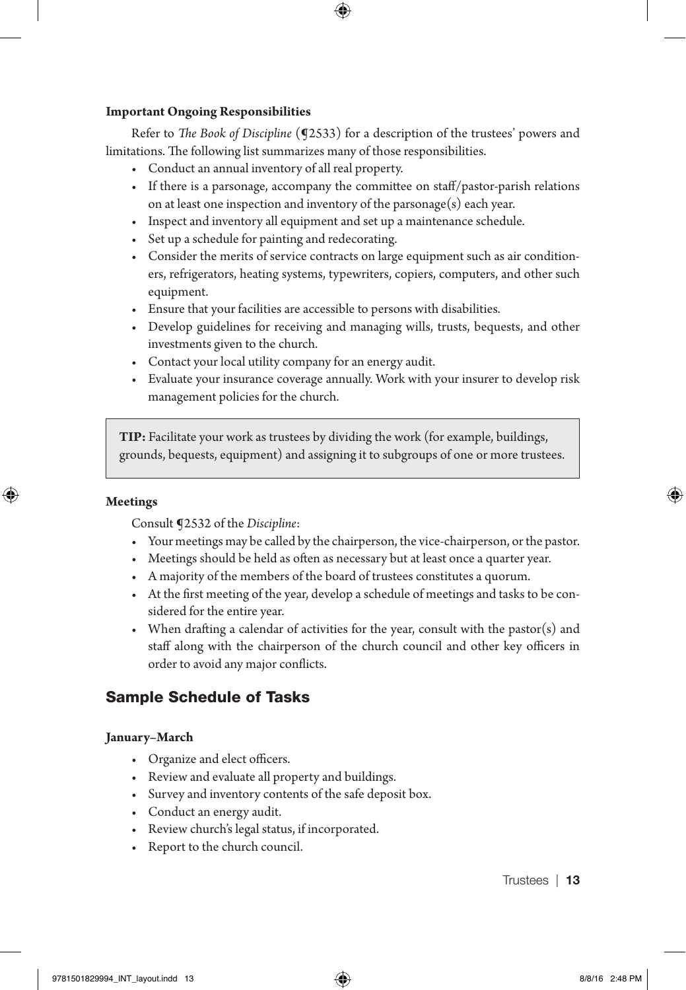#### **Important Ongoing Responsibilities**

Refer to *The Book of Discipline* (¶2533) for a description of the trustees' powers and limitations. The following list summarizes many of those responsibilities.

- Conduct an annual inventory of all real property.
- If there is a parsonage, accompany the committee on staff/pastor-parish relations on at least one inspection and inventory of the parsonage(s) each year.
- Inspect and inventory all equipment and set up a maintenance schedule.
- Set up a schedule for painting and redecorating.
- Consider the merits of service contracts on large equipment such as air conditioners, refrigerators, heating systems, typewriters, copiers, computers, and other such equipment.
- Ensure that your facilities are accessible to persons with disabilities.
- Develop guidelines for receiving and managing wills, trusts, bequests, and other investments given to the church.
- Contact your local utility company for an energy audit.
- Evaluate your insurance coverage annually. Work with your insurer to develop risk management policies for the church.

**TIP:** Facilitate your work as trustees by dividing the work (for example, buildings, grounds, bequests, equipment) and assigning it to subgroups of one or more trustees.

#### **Meetings**

Consult ¶2532 of the *Discipline*:

- Your meetings may be called by the chairperson, the vice-chairperson, or the pastor.
- Meetings should be held as often as necessary but at least once a quarter year.
- A majority of the members of the board of trustees constitutes a quorum.
- At the first meeting of the year, develop a schedule of meetings and tasks to be considered for the entire year.
- When drafting a calendar of activities for the year, consult with the pastor(s) and staff along with the chairperson of the church council and other key officers in order to avoid any major conflicts.

#### Sample Schedule of Tasks

#### **January–March**

- Organize and elect officers.
- Review and evaluate all property and buildings.
- Survey and inventory contents of the safe deposit box.
- Conduct an energy audit.
- Review church's legal status, if incorporated.
- Report to the church council.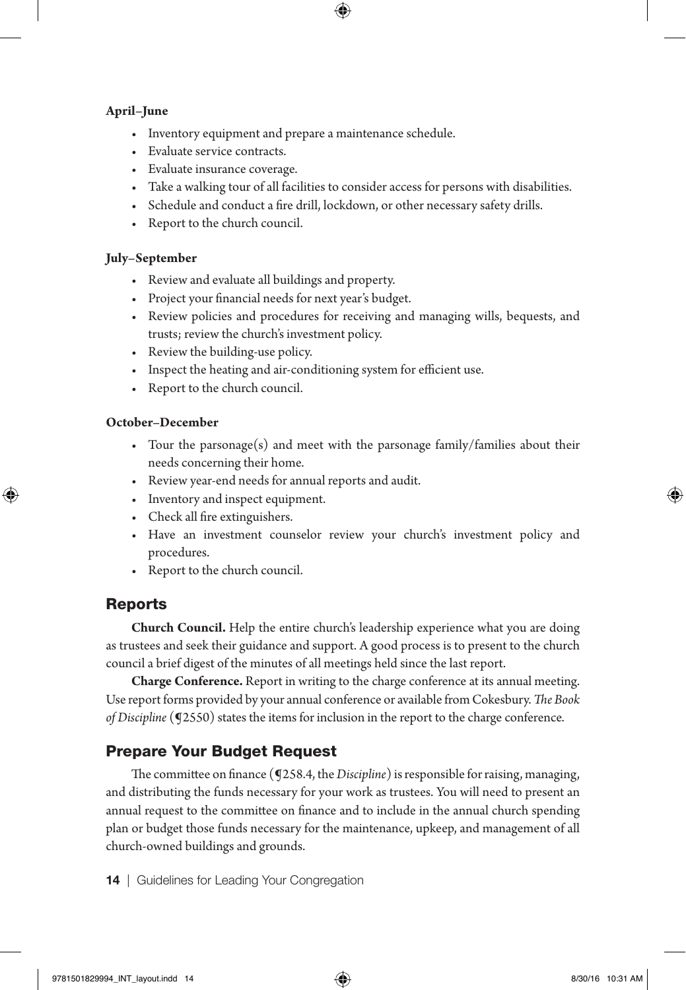#### **April–June**

- Inventory equipment and prepare a maintenance schedule.
- Evaluate service contracts.
- Evaluate insurance coverage.
- Take a walking tour of all facilities to consider access for persons with disabilities.
- Schedule and conduct a fire drill, lockdown, or other necessary safety drills.
- Report to the church council.

#### **July–September**

- Review and evaluate all buildings and property.
- Project your financial needs for next year's budget.
- Review policies and procedures for receiving and managing wills, bequests, and trusts; review the church's investment policy.
- Review the building-use policy.
- Inspect the heating and air-conditioning system for efficient use.
- Report to the church council.

#### **October–December**

- Tour the parsonage(s) and meet with the parsonage family/families about their needs concerning their home.
- Review year-end needs for annual reports and audit.
- Inventory and inspect equipment.
- Check all fire extinguishers.
- Have an investment counselor review your church's investment policy and procedures.
- Report to the church council.

#### Reports

**Church Council.** Help the entire church's leadership experience what you are doing as trustees and seek their guidance and support. A good process is to present to the church council a brief digest of the minutes of all meetings held since the last report.

**Charge Conference.** Report in writing to the charge conference at its annual meeting. Use report forms provided by your annual conference or available from Cokesbury. *The Book of Discipline* (¶2550) states the items for inclusion in the report to the charge conference.

#### Prepare Your Budget Request

The committee on finance (¶258.4, the *Discipline*) is responsible for raising, managing, and distributing the funds necessary for your work as trustees. You will need to present an annual request to the committee on finance and to include in the annual church spending plan or budget those funds necessary for the maintenance, upkeep, and management of all church-owned buildings and grounds.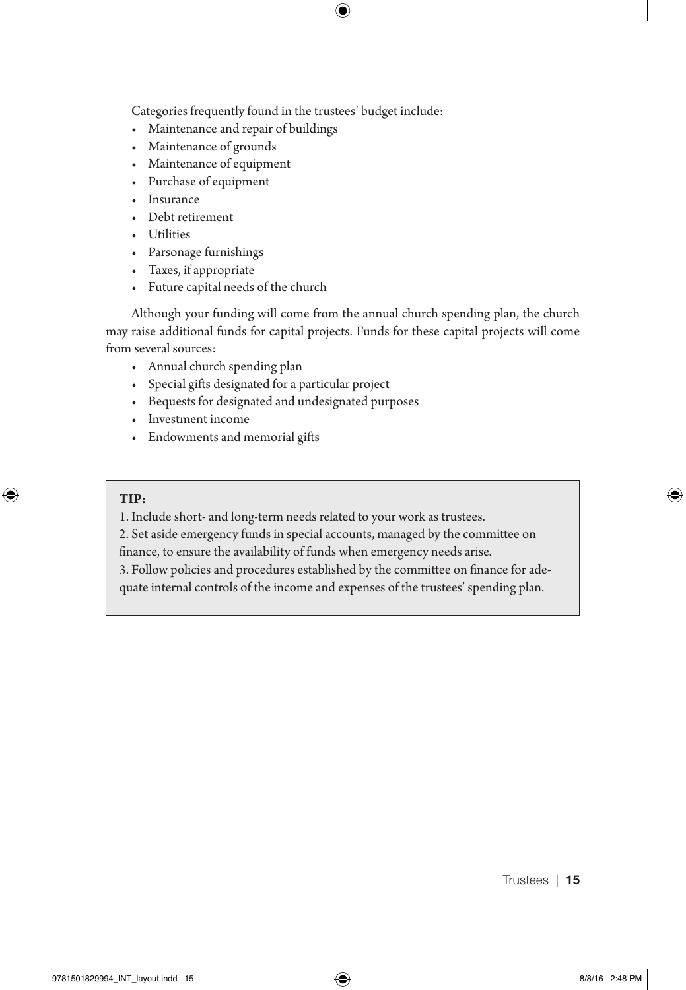Categories frequently found in the trustees' budget include:

- Maintenance and repair of buildings
- Maintenance of grounds
- Maintenance of equipment
- Purchase of equipment
- Insurance
- Debt retirement
- Utilities
- Parsonage furnishings
- Taxes, if appropriate
- Future capital needs of the church

Although your funding will come from the annual church spending plan, the church may raise additional funds for capital projects. Funds for these capital projects will come from several sources:

- Annual church spending plan
- Special gifts designated for a particular project
- Bequests for designated and undesignated purposes
- Investment income
- Endowments and memorial gifts

#### **TIP:**

1. Include short- and long-term needs related to your work as trustees.

2. Set aside emergency funds in special accounts, managed by the committee on

finance, to ensure the availability of funds when emergency needs arise.

3. Follow policies and procedures established by the committee on finance for ade-

quate internal controls of the income and expenses of the trustees' spending plan.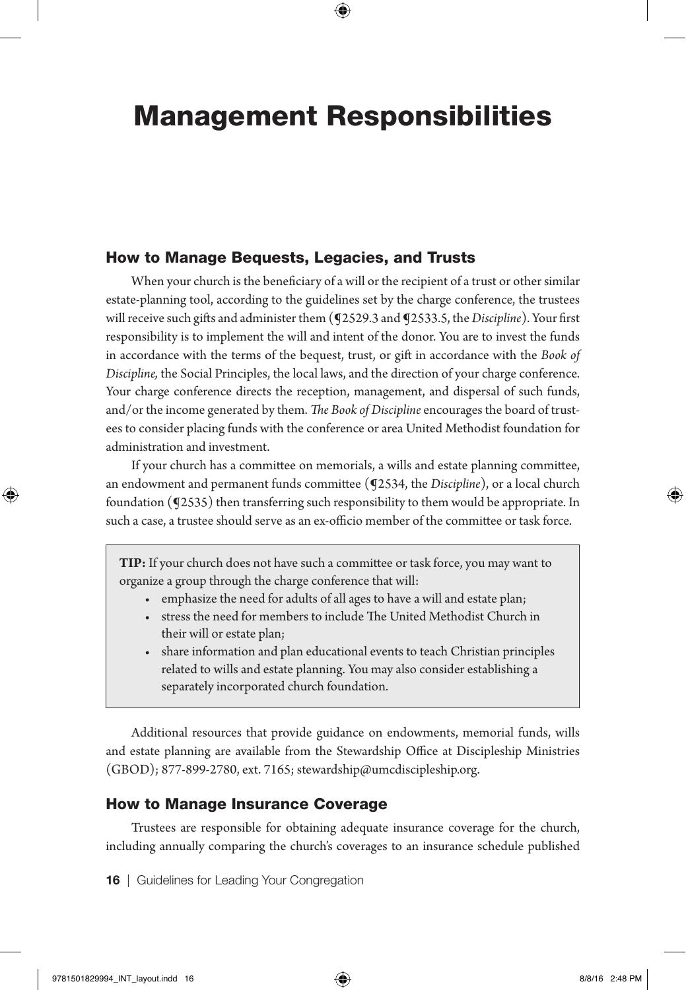## Management Responsibilities

#### How to Manage Bequests, Legacies, and Trusts

When your church is the beneficiary of a will or the recipient of a trust or other similar estate-planning tool, according to the guidelines set by the charge conference, the trustees will receive such gifts and administer them (¶2529.3 and ¶2533.5, the *Discipline*). Your first responsibility is to implement the will and intent of the donor. You are to invest the funds in accordance with the terms of the bequest, trust, or gift in accordance with the *Book of Discipline,* the Social Principles, the local laws, and the direction of your charge conference. Your charge conference directs the reception, management, and dispersal of such funds, and/or the income generated by them. *The Book of Discipline* encourages the board of trustees to consider placing funds with the conference or area United Methodist foundation for administration and investment.

If your church has a committee on memorials, a wills and estate planning committee, an endowment and permanent funds committee (¶2534, the *Discipline*), or a local church foundation (¶2535) then transferring such responsibility to them would be appropriate. In such a case, a trustee should serve as an ex-officio member of the committee or task force.

**TIP:** If your church does not have such a committee or task force, you may want to organize a group through the charge conference that will:

- emphasize the need for adults of all ages to have a will and estate plan;
- stress the need for members to include The United Methodist Church in their will or estate plan;
- share information and plan educational events to teach Christian principles related to wills and estate planning. You may also consider establishing a separately incorporated church foundation.

Additional resources that provide guidance on endowments, memorial funds, wills and estate planning are available from the Stewardship Office at Discipleship Ministries (GBOD); 877-899-2780, ext. 7165; stewardship@umcdiscipleship.org.

#### How to Manage Insurance Coverage

Trustees are responsible for obtaining adequate insurance coverage for the church, including annually comparing the church's coverages to an insurance schedule published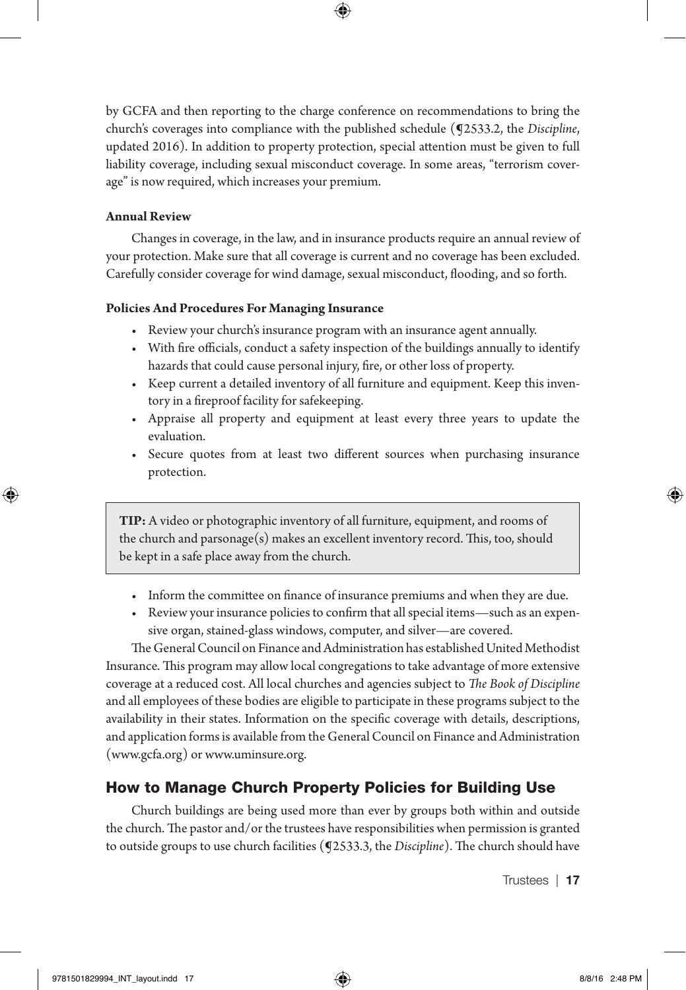by GCFA and then reporting to the charge conference on recommendations to bring the church's coverages into compliance with the published schedule (¶2533.2, the *Discipline*, updated 2016). In addition to property protection, special attention must be given to full liability coverage, including sexual misconduct coverage. In some areas, "terrorism coverage" is now required, which increases your premium.

#### **Annual Review**

Changes in coverage, in the law, and in insurance products require an annual review of your protection. Make sure that all coverage is current and no coverage has been excluded. Carefully consider coverage for wind damage, sexual misconduct, flooding, and so forth.

#### **Policies And Procedures For Managing Insurance**

- Review your church's insurance program with an insurance agent annually.
- With fire officials, conduct a safety inspection of the buildings annually to identify hazards that could cause personal injury, fire, or other loss of property.
- Keep current a detailed inventory of all furniture and equipment. Keep this inventory in a fireproof facility for safekeeping.
- Appraise all property and equipment at least every three years to update the evaluation.
- Secure quotes from at least two different sources when purchasing insurance protection.

**TIP:** A video or photographic inventory of all furniture, equipment, and rooms of the church and parsonage(s) makes an excellent inventory record. This, too, should be kept in a safe place away from the church.

- Inform the committee on finance of insurance premiums and when they are due.
- Review your insurance policies to confirm that all special items—such as an expensive organ, stained-glass windows, computer, and silver—are covered.

The General Council on Finance and Administration has established United Methodist Insurance. This program may allow local congregations to take advantage of more extensive coverage at a reduced cost. All local churches and agencies subject to *The Book of Discipline*  and all employees of these bodies are eligible to participate in these programs subject to the availability in their states. Information on the specific coverage with details, descriptions, and application forms is available from the General Council on Finance and Administration (www.gcfa.org) or www.uminsure.org.

#### How to Manage Church Property Policies for Building Use

Church buildings are being used more than ever by groups both within and outside the church. The pastor and/or the trustees have responsibilities when permission is granted to outside groups to use church facilities (¶2533.3, the *Discipline*). The church should have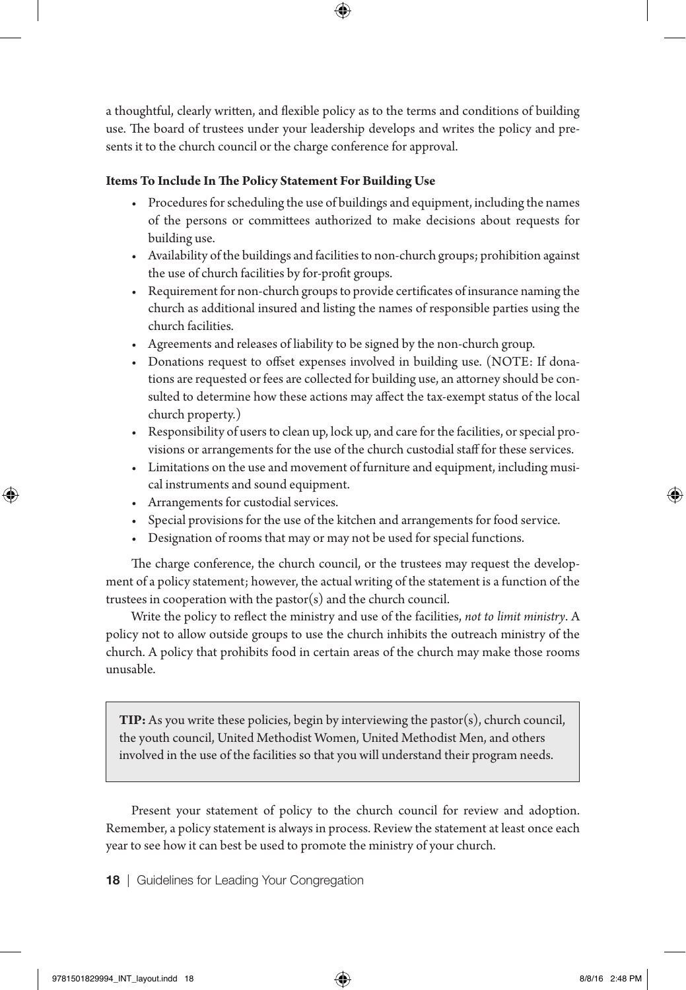a thoughtful, clearly written, and flexible policy as to the terms and conditions of building use. The board of trustees under your leadership develops and writes the policy and presents it to the church council or the charge conference for approval.

#### **Items To Include In The Policy Statement For Building Use**

- Procedures for scheduling the use of buildings and equipment, including the names of the persons or committees authorized to make decisions about requests for building use.
- Availability of the buildings and facilities to non-church groups; prohibition against the use of church facilities by for-profit groups.
- Requirement for non-church groups to provide certificates of insurance naming the church as additional insured and listing the names of responsible parties using the church facilities.
- Agreements and releases of liability to be signed by the non-church group.
- Donations request to offset expenses involved in building use. (NOTE: If donations are requested or fees are collected for building use, an attorney should be consulted to determine how these actions may affect the tax-exempt status of the local church property.)
- Responsibility of users to clean up, lock up, and care for the facilities, or special provisions or arrangements for the use of the church custodial staff for these services.
- Limitations on the use and movement of furniture and equipment, including musical instruments and sound equipment.
- Arrangements for custodial services.
- Special provisions for the use of the kitchen and arrangements for food service.
- Designation of rooms that may or may not be used for special functions.

The charge conference, the church council, or the trustees may request the development of a policy statement; however, the actual writing of the statement is a function of the trustees in cooperation with the pastor(s) and the church council.

Write the policy to reflect the ministry and use of the facilities, *not to limit ministry*. A policy not to allow outside groups to use the church inhibits the outreach ministry of the church. A policy that prohibits food in certain areas of the church may make those rooms unusable.

**TIP:** As you write these policies, begin by interviewing the pastor(s), church council, the youth council, United Methodist Women, United Methodist Men, and others involved in the use of the facilities so that you will understand their program needs.

Present your statement of policy to the church council for review and adoption. Remember, a policy statement is always in process. Review the statement at least once each year to see how it can best be used to promote the ministry of your church.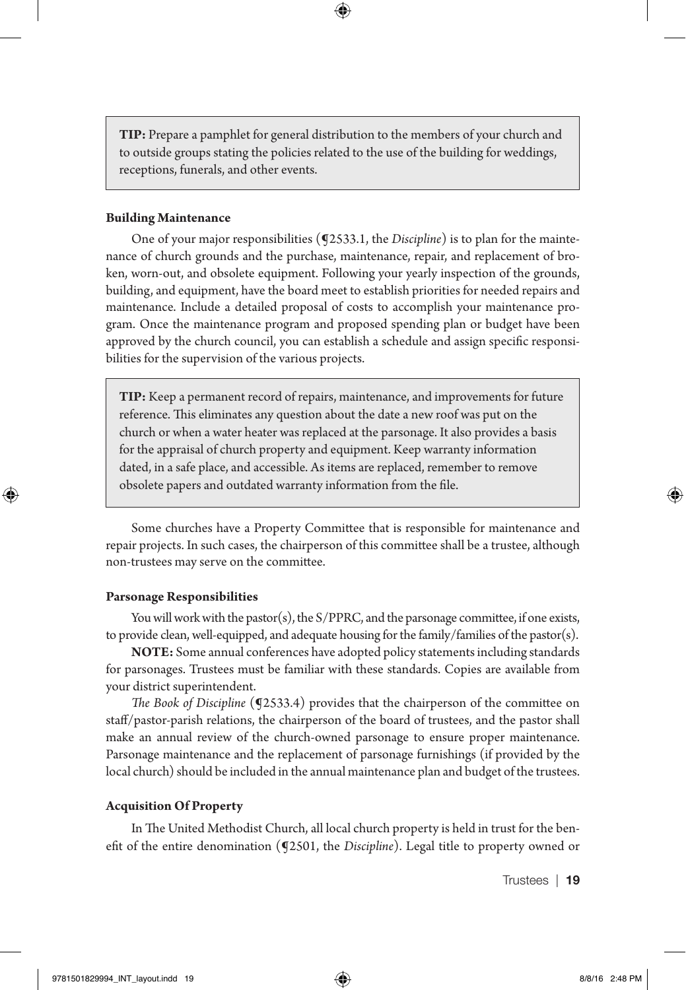**TIP:** Prepare a pamphlet for general distribution to the members of your church and to outside groups stating the policies related to the use of the building for weddings, receptions, funerals, and other events.

#### **Building Maintenance**

One of your major responsibilities (¶2533.1, the *Discipline*) is to plan for the maintenance of church grounds and the purchase, maintenance, repair, and replacement of broken, worn-out, and obsolete equipment. Following your yearly inspection of the grounds, building, and equipment, have the board meet to establish priorities for needed repairs and maintenance. Include a detailed proposal of costs to accomplish your maintenance program. Once the maintenance program and proposed spending plan or budget have been approved by the church council, you can establish a schedule and assign specific responsibilities for the supervision of the various projects.

**TIP:** Keep a permanent record of repairs, maintenance, and improvements for future reference. This eliminates any question about the date a new roof was put on the church or when a water heater was replaced at the parsonage. It also provides a basis for the appraisal of church property and equipment. Keep warranty information dated, in a safe place, and accessible. As items are replaced, remember to remove obsolete papers and outdated warranty information from the file.

Some churches have a Property Committee that is responsible for maintenance and repair projects. In such cases, the chairperson of this committee shall be a trustee, although non-trustees may serve on the committee.

#### **Parsonage Responsibilities**

You will work with the pastor(s), the  $S/PPRC$ , and the parsonage committee, if one exists, to provide clean, well-equipped, and adequate housing for the family/families of the pastor(s).

**NOTE:** Some annual conferences have adopted policy statements including standards for parsonages. Trustees must be familiar with these standards. Copies are available from your district superintendent.

*The Book of Discipline* (**J**2533.4) provides that the chairperson of the committee on staff/pastor-parish relations, the chairperson of the board of trustees, and the pastor shall make an annual review of the church-owned parsonage to ensure proper maintenance. Parsonage maintenance and the replacement of parsonage furnishings (if provided by the local church) should be included in the annual maintenance plan and budget of the trustees.

#### **Acquisition Of Property**

In The United Methodist Church, all local church property is held in trust for the benefit of the entire denomination (¶2501, the *Discipline*). Legal title to property owned or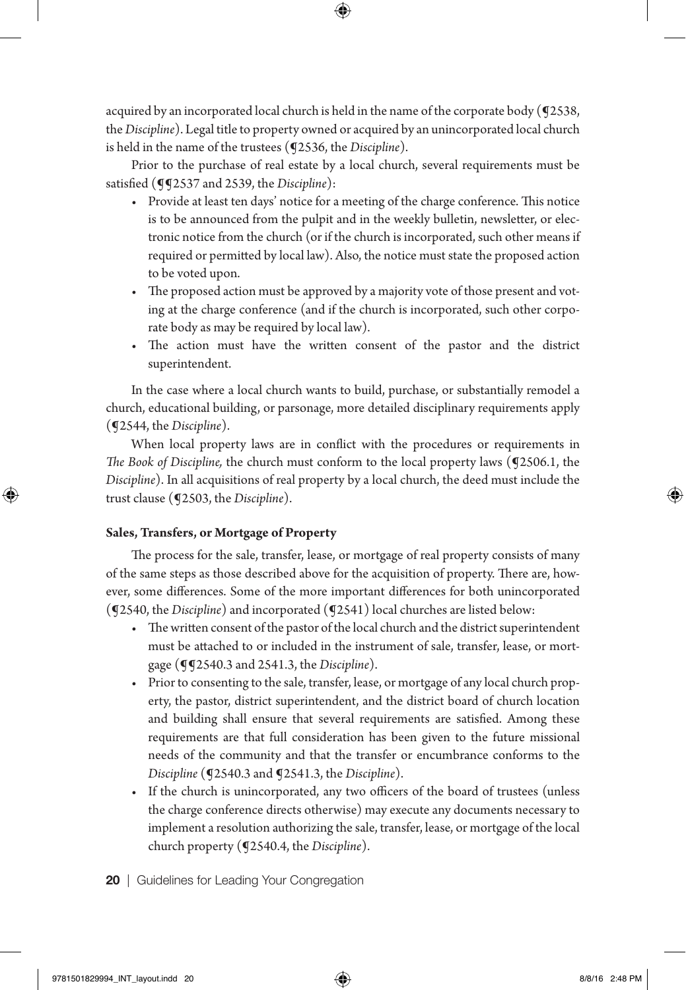acquired by an incorporated local church is held in the name of the corporate body (92538, the *Discipline*). Legal title to property owned or acquired by an unincorporated local church is held in the name of the trustees (¶2536, the *Discipline*).

Prior to the purchase of real estate by a local church, several requirements must be satisfied ( $qq$ 2537 and 2539, the *Discipline*):

- Provide at least ten days' notice for a meeting of the charge conference. This notice is to be announced from the pulpit and in the weekly bulletin, newsletter, or electronic notice from the church (or if the church is incorporated, such other means if required or permitted by local law). Also, the notice must state the proposed action to be voted upon.
- The proposed action must be approved by a majority vote of those present and voting at the charge conference (and if the church is incorporated, such other corporate body as may be required by local law).
- The action must have the written consent of the pastor and the district superintendent.

In the case where a local church wants to build, purchase, or substantially remodel a church, educational building, or parsonage, more detailed disciplinary requirements apply (¶2544, the *Discipline*).

When local property laws are in conflict with the procedures or requirements in *The Book of Discipline,* the church must conform to the local property laws (¶2506.1, the *Discipline*). In all acquisitions of real property by a local church, the deed must include the trust clause (¶2503, the *Discipline*).

#### **Sales, Transfers, or Mortgage of Property**

The process for the sale, transfer, lease, or mortgage of real property consists of many of the same steps as those described above for the acquisition of property. There are, however, some differences. Some of the more important differences for both unincorporated (¶2540, the *Discipline*) and incorporated (¶2541) local churches are listed below:

- The written consent of the pastor of the local church and the district superintendent must be attached to or included in the instrument of sale, transfer, lease, or mortgage (¶¶2540.3 and 2541.3, the *Discipline*).
- Prior to consenting to the sale, transfer, lease, or mortgage of any local church property, the pastor, district superintendent, and the district board of church location and building shall ensure that several requirements are satisfied. Among these requirements are that full consideration has been given to the future missional needs of the community and that the transfer or encumbrance conforms to the *Discipline* (¶2540.3 and ¶2541.3, the *Discipline*).
- If the church is unincorporated, any two officers of the board of trustees (unless the charge conference directs otherwise) may execute any documents necessary to implement a resolution authorizing the sale, transfer, lease, or mortgage of the local church property (¶2540.4, the *Discipline*).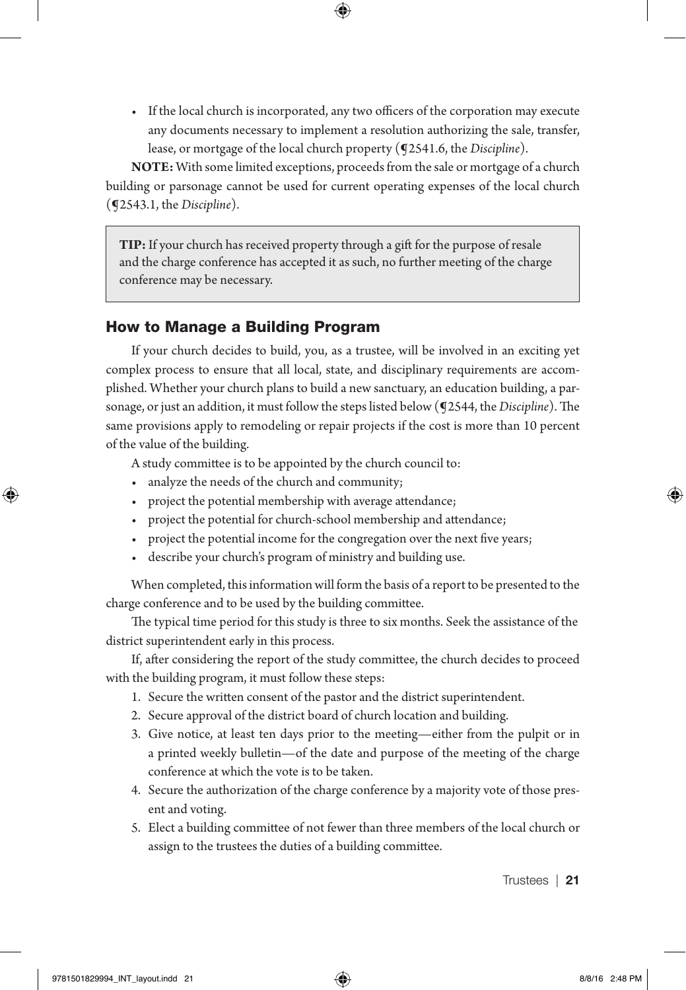• If the local church is incorporated, any two officers of the corporation may execute any documents necessary to implement a resolution authorizing the sale, transfer, lease, or mortgage of the local church property (¶2541.6, the *Discipline*).

**NOTE:** With some limited exceptions, proceeds from the sale or mortgage of a church building or parsonage cannot be used for current operating expenses of the local church (¶2543.1, the *Discipline*).

**TIP:** If your church has received property through a gift for the purpose of resale and the charge conference has accepted it as such, no further meeting of the charge conference may be necessary.

#### How to Manage a Building Program

If your church decides to build, you, as a trustee, will be involved in an exciting yet complex process to ensure that all local, state, and disciplinary requirements are accomplished. Whether your church plans to build a new sanctuary, an education building, a parsonage, or just an addition, it must follow the steps listed below (¶2544, the *Discipline*). The same provisions apply to remodeling or repair projects if the cost is more than 10 percent of the value of the building.

A study committee is to be appointed by the church council to:

- analyze the needs of the church and community;
- project the potential membership with average attendance;
- project the potential for church-school membership and attendance;
- project the potential income for the congregation over the next five years;
- describe your church's program of ministry and building use.

When completed, this information will form the basis of a report to be presented to the charge conference and to be used by the building committee.

The typical time period for this study is three to six months. Seek the assistance of the district superintendent early in this process.

If, after considering the report of the study committee, the church decides to proceed with the building program, it must follow these steps:

- 1. Secure the written consent of the pastor and the district superintendent.
- 2. Secure approval of the district board of church location and building.
- 3. Give notice, at least ten days prior to the meeting—either from the pulpit or in a printed weekly bulletin—of the date and purpose of the meeting of the charge conference at which the vote is to be taken.
- 4. Secure the authorization of the charge conference by a majority vote of those present and voting.
- 5. Elect a building committee of not fewer than three members of the local church or assign to the trustees the duties of a building committee.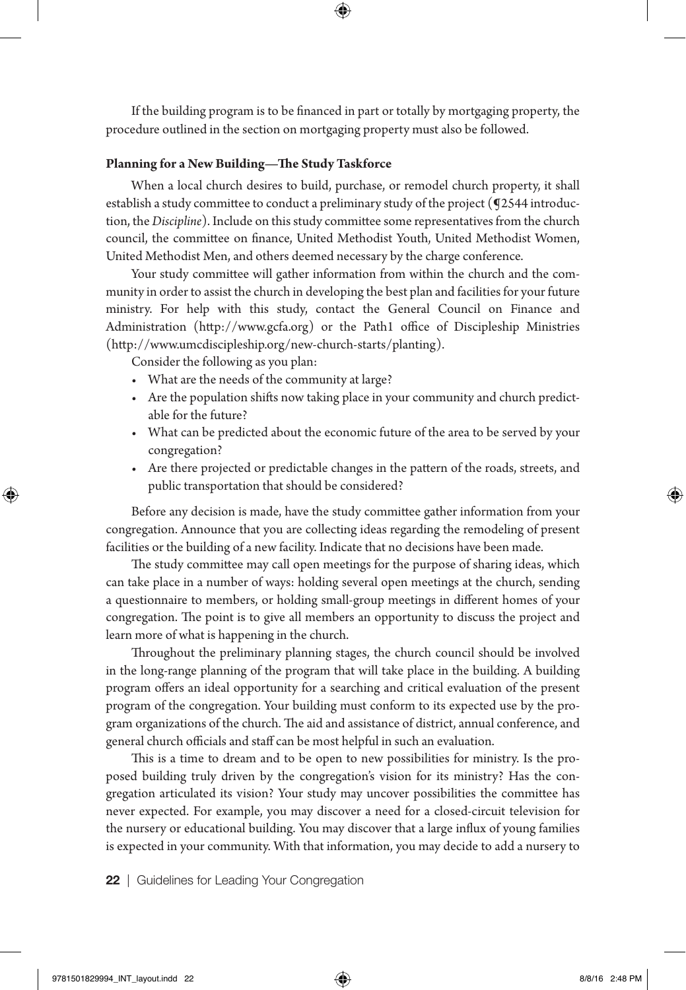If the building program is to be financed in part or totally by mortgaging property, the procedure outlined in the section on mortgaging property must also be followed.

#### **Planning for a New Building—The Study Taskforce**

When a local church desires to build, purchase, or remodel church property, it shall establish a study committee to conduct a preliminary study of the project ( $Q2544$  introduction, the *Discipline*). Include on this study committee some representatives from the church council, the committee on finance, United Methodist Youth, United Methodist Women, United Methodist Men, and others deemed necessary by the charge conference.

Your study committee will gather information from within the church and the community in order to assist the church in developing the best plan and facilities for your future ministry. For help with this study, contact the General Council on Finance and Administration (http://www.gcfa.org) or the Path1 office of Discipleship Ministries (http://www.umcdiscipleship.org/new-church-starts/planting).

Consider the following as you plan:

- What are the needs of the community at large?
- Are the population shifts now taking place in your community and church predictable for the future?
- What can be predicted about the economic future of the area to be served by your congregation?
- Are there projected or predictable changes in the pattern of the roads, streets, and public transportation that should be considered?

Before any decision is made, have the study committee gather information from your congregation. Announce that you are collecting ideas regarding the remodeling of present facilities or the building of a new facility. Indicate that no decisions have been made.

The study committee may call open meetings for the purpose of sharing ideas, which can take place in a number of ways: holding several open meetings at the church, sending a questionnaire to members, or holding small-group meetings in different homes of your congregation. The point is to give all members an opportunity to discuss the project and learn more of what is happening in the church.

Throughout the preliminary planning stages, the church council should be involved in the long-range planning of the program that will take place in the building. A building program offers an ideal opportunity for a searching and critical evaluation of the present program of the congregation. Your building must conform to its expected use by the program organizations of the church. The aid and assistance of district, annual conference, and general church officials and staff can be most helpful in such an evaluation.

This is a time to dream and to be open to new possibilities for ministry. Is the proposed building truly driven by the congregation's vision for its ministry? Has the congregation articulated its vision? Your study may uncover possibilities the committee has never expected. For example, you may discover a need for a closed-circuit television for the nursery or educational building. You may discover that a large influx of young families is expected in your community. With that information, you may decide to add a nursery to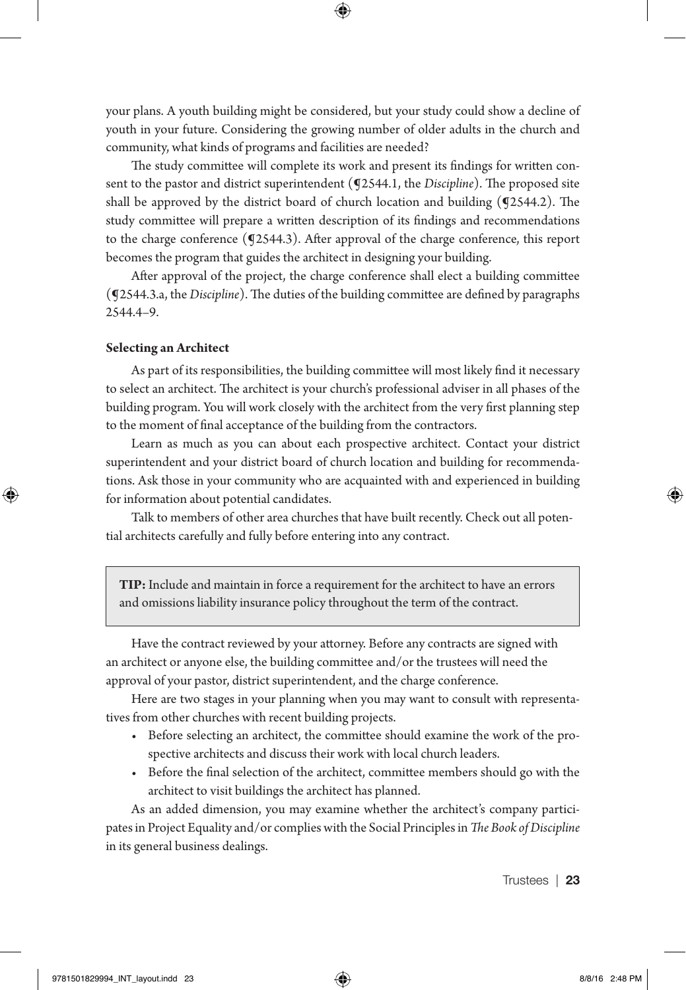your plans. A youth building might be considered, but your study could show a decline of youth in your future. Considering the growing number of older adults in the church and community, what kinds of programs and facilities are needed?

The study committee will complete its work and present its findings for written consent to the pastor and district superintendent (¶2544.1, the *Discipline*). The proposed site shall be approved by the district board of church location and building (¶2544.2). The study committee will prepare a written description of its findings and recommendations to the charge conference (¶2544.3). After approval of the charge conference, this report becomes the program that guides the architect in designing your building.

After approval of the project, the charge conference shall elect a building committee (¶2544.3.a, the *Discipline*). The duties of the building committee are defined by paragraphs 2544.4–9.

#### **Selecting an Architect**

As part of its responsibilities, the building committee will most likely find it necessary to select an architect. The architect is your church's professional adviser in all phases of the building program. You will work closely with the architect from the very first planning step to the moment of final acceptance of the building from the contractors.

Learn as much as you can about each prospective architect. Contact your district superintendent and your district board of church location and building for recommendations. Ask those in your community who are acquainted with and experienced in building for information about potential candidates.

Talk to members of other area churches that have built recently. Check out all potential architects carefully and fully before entering into any contract.

**TIP:** Include and maintain in force a requirement for the architect to have an errors and omissions liability insurance policy throughout the term of the contract.

Have the contract reviewed by your attorney. Before any contracts are signed with an architect or anyone else, the building committee and/or the trustees will need the approval of your pastor, district superintendent, and the charge conference.

Here are two stages in your planning when you may want to consult with representatives from other churches with recent building projects.

- Before selecting an architect, the committee should examine the work of the prospective architects and discuss their work with local church leaders.
- Before the final selection of the architect, committee members should go with the architect to visit buildings the architect has planned.

As an added dimension, you may examine whether the architect's company participates in Project Equality and/or complies with the Social Principles in *The Book of Discipline* in its general business dealings.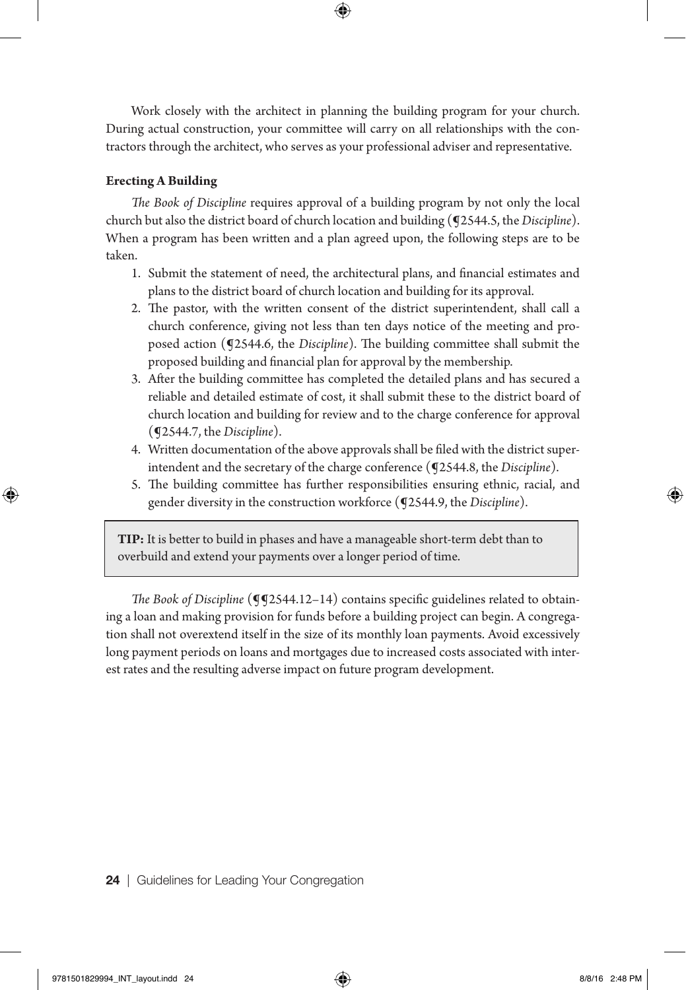Work closely with the architect in planning the building program for your church. During actual construction, your committee will carry on all relationships with the contractors through the architect, who serves as your professional adviser and representative.

#### **Erecting A Building**

*The Book of Discipline* requires approval of a building program by not only the local church but also the district board of church location and building (¶2544.5, the *Discipline*). When a program has been written and a plan agreed upon, the following steps are to be taken.

- 1. Submit the statement of need, the architectural plans, and financial estimates and plans to the district board of church location and building for its approval.
- 2. The pastor, with the written consent of the district superintendent, shall call a church conference, giving not less than ten days notice of the meeting and proposed action (¶2544.6, the *Discipline*). The building committee shall submit the proposed building and financial plan for approval by the membership.
- 3. After the building committee has completed the detailed plans and has secured a reliable and detailed estimate of cost, it shall submit these to the district board of church location and building for review and to the charge conference for approval (¶2544.7, the *Discipline*).
- 4. Written documentation of the above approvals shall be filed with the district superintendent and the secretary of the charge conference (¶2544.8, the *Discipline*).
- 5. The building committee has further responsibilities ensuring ethnic, racial, and gender diversity in the construction workforce (¶2544.9, the *Discipline*).

**TIP:** It is better to build in phases and have a manageable short-term debt than to overbuild and extend your payments over a longer period of time.

*The Book of Discipline* ( $\P$ 2544.12–14) contains specific guidelines related to obtaining a loan and making provision for funds before a building project can begin. A congregation shall not overextend itself in the size of its monthly loan payments. Avoid excessively long payment periods on loans and mortgages due to increased costs associated with interest rates and the resulting adverse impact on future program development.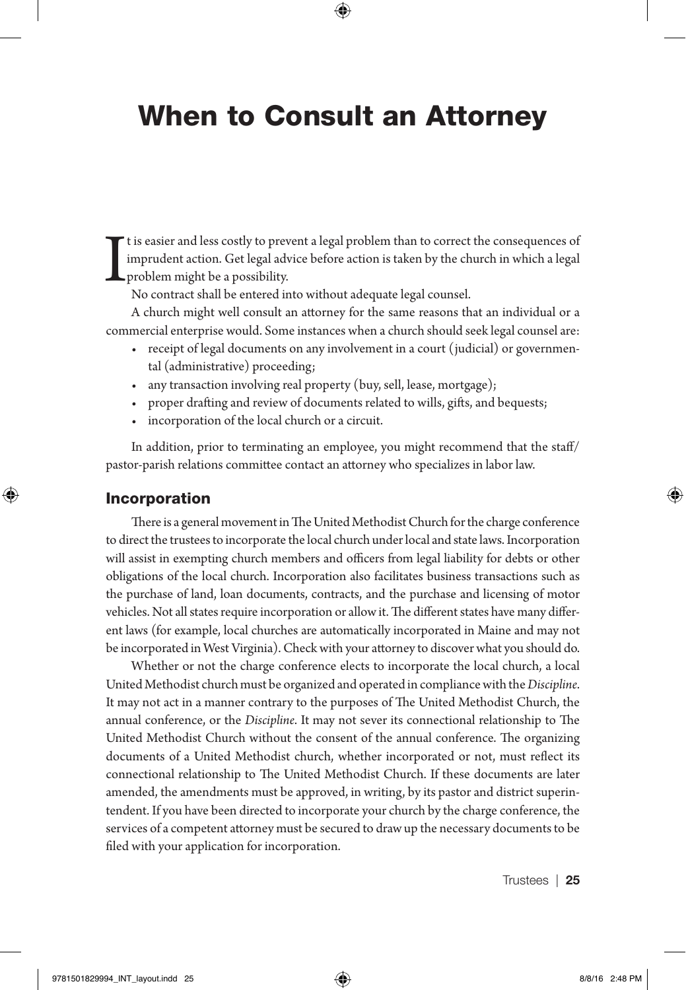## When to Consult an Attorney

I t is easier and less costly to prevent a legal problem than to correct the consequences of imprudent action. Get legal advice before action is taken by the church in which a legal problem might be a possibility.

No contract shall be entered into without adequate legal counsel.

A church might well consult an attorney for the same reasons that an individual or a commercial enterprise would. Some instances when a church should seek legal counsel are:

- receipt of legal documents on any involvement in a court (judicial) or governmental (administrative) proceeding;
- any transaction involving real property (buy, sell, lease, mortgage);
- proper drafting and review of documents related to wills, gifts, and bequests;
- incorporation of the local church or a circuit.

In addition, prior to terminating an employee, you might recommend that the staff/ pastor-parish relations committee contact an attorney who specializes in labor law.

#### Incorporation

There is a general movement in The United Methodist Church for the charge conference to direct the trustees to incorporate the local church under local and state laws. Incorporation will assist in exempting church members and officers from legal liability for debts or other obligations of the local church. Incorporation also facilitates business transactions such as the purchase of land, loan documents, contracts, and the purchase and licensing of motor vehicles. Not all states require incorporation or allow it. The different states have many different laws (for example, local churches are automatically incorporated in Maine and may not be incorporated in West Virginia). Check with your attorney to discover what you should do.

Whether or not the charge conference elects to incorporate the local church, a local United Methodist church must be organized and operated in compliance with the *Discipline*. It may not act in a manner contrary to the purposes of The United Methodist Church, the annual conference, or the *Discipline*. It may not sever its connectional relationship to The United Methodist Church without the consent of the annual conference. The organizing documents of a United Methodist church, whether incorporated or not, must reflect its connectional relationship to The United Methodist Church. If these documents are later amended, the amendments must be approved, in writing, by its pastor and district superintendent. If you have been directed to incorporate your church by the charge conference, the services of a competent attorney must be secured to draw up the necessary documents to be filed with your application for incorporation.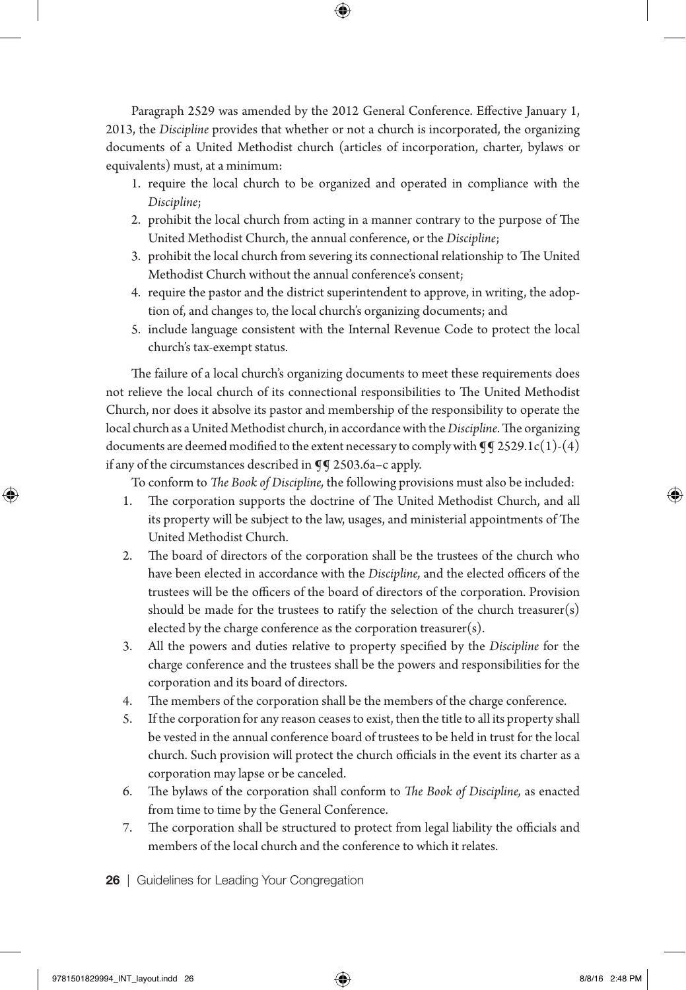Paragraph 2529 was amended by the 2012 General Conference. Effective January 1, 2013, the *Discipline* provides that whether or not a church is incorporated, the organizing documents of a United Methodist church (articles of incorporation, charter, bylaws or equivalents) must, at a minimum:

- 1. require the local church to be organized and operated in compliance with the *Discipline*;
- 2. prohibit the local church from acting in a manner contrary to the purpose of The United Methodist Church, the annual conference, or the *Discipline*;
- 3. prohibit the local church from severing its connectional relationship to The United Methodist Church without the annual conference's consent;
- 4. require the pastor and the district superintendent to approve, in writing, the adoption of, and changes to, the local church's organizing documents; and
- 5. include language consistent with the Internal Revenue Code to protect the local church's tax-exempt status.

The failure of a local church's organizing documents to meet these requirements does not relieve the local church of its connectional responsibilities to The United Methodist Church, nor does it absolve its pastor and membership of the responsibility to operate the local church as a United Methodist church, in accordance with the *Discipline*. The organizing documents are deemed modified to the extent necessary to comply with  $\mathbb{q}\mathbb{q}$  2529.1c(1)-(4) if any of the circumstances described in ¶¶ 2503.6a–c apply.

To conform to *The Book of Discipline,* the following provisions must also be included:

- 1. The corporation supports the doctrine of The United Methodist Church, and all its property will be subject to the law, usages, and ministerial appointments of The United Methodist Church.
- 2. The board of directors of the corporation shall be the trustees of the church who have been elected in accordance with the *Discipline,* and the elected officers of the trustees will be the officers of the board of directors of the corporation. Provision should be made for the trustees to ratify the selection of the church treasurer(s) elected by the charge conference as the corporation treasurer(s).
- 3. All the powers and duties relative to property specified by the *Discipline* for the charge conference and the trustees shall be the powers and responsibilities for the corporation and its board of directors.
- 4. The members of the corporation shall be the members of the charge conference.
- 5. If the corporation for any reason ceases to exist, then the title to all its property shall be vested in the annual conference board of trustees to be held in trust for the local church. Such provision will protect the church officials in the event its charter as a corporation may lapse or be canceled.
- 6. The bylaws of the corporation shall conform to *The Book of Discipline,* as enacted from time to time by the General Conference.
- 7. The corporation shall be structured to protect from legal liability the officials and members of the local church and the conference to which it relates.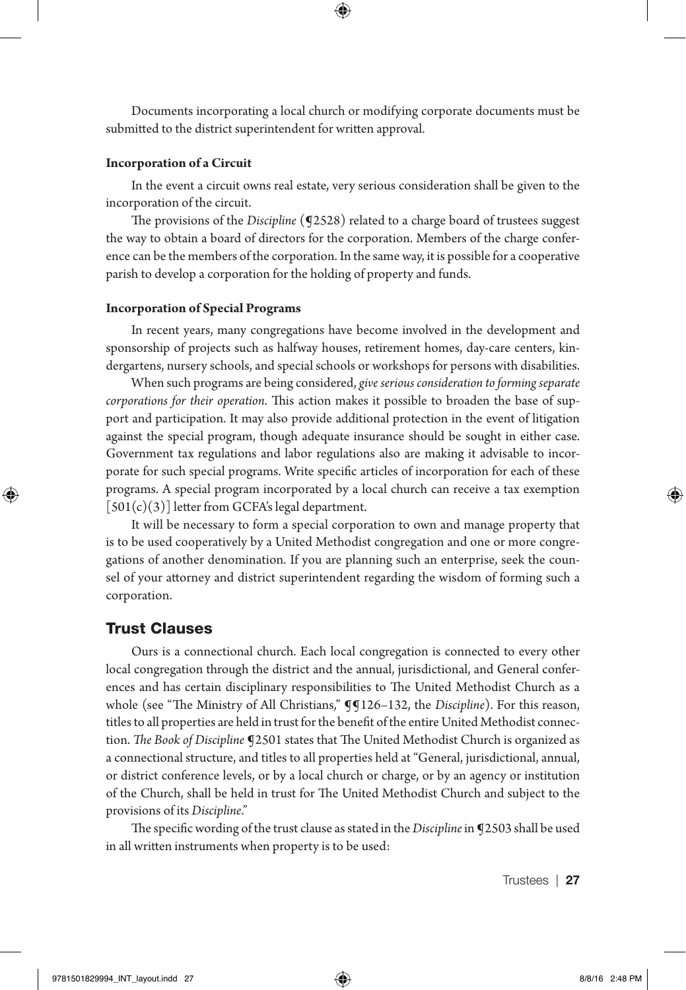Documents incorporating a local church or modifying corporate documents must be submitted to the district superintendent for written approval.

#### **Incorporation of a Circuit**

In the event a circuit owns real estate, very serious consideration shall be given to the incorporation of the circuit.

The provisions of the *Discipline* (**[2528**) related to a charge board of trustees suggest the way to obtain a board of directors for the corporation. Members of the charge conference can be the members of the corporation. In the same way, it is possible for a cooperative parish to develop a corporation for the holding of property and funds.

#### **Incorporation of Special Programs**

In recent years, many congregations have become involved in the development and sponsorship of projects such as halfway houses, retirement homes, day-care centers, kindergartens, nursery schools, and special schools or workshops for persons with disabilities.

When such programs are being considered, *give serious consideration to forming separate corporations for their operation*. This action makes it possible to broaden the base of support and participation. It may also provide additional protection in the event of litigation against the special program, though adequate insurance should be sought in either case. Government tax regulations and labor regulations also are making it advisable to incorporate for such special programs. Write specific articles of incorporation for each of these programs. A special program incorporated by a local church can receive a tax exemption  $[501(c)(3)]$  letter from GCFA's legal department.

It will be necessary to form a special corporation to own and manage property that is to be used cooperatively by a United Methodist congregation and one or more congregations of another denomination. If you are planning such an enterprise, seek the counsel of your attorney and district superintendent regarding the wisdom of forming such a corporation.

#### Trust Clauses

Ours is a connectional church. Each local congregation is connected to every other local congregation through the district and the annual, jurisdictional, and General conferences and has certain disciplinary responsibilities to The United Methodist Church as a whole (see "The Ministry of All Christians," **I**I126–132, the *Discipline*). For this reason, titles to all properties are held in trust for the benefit of the entire United Methodist connection. *The Book of Discipline* ¶2501 states that The United Methodist Church is organized as a connectional structure, and titles to all properties held at "General, jurisdictional, annual, or district conference levels, or by a local church or charge, or by an agency or institution of the Church, shall be held in trust for The United Methodist Church and subject to the provisions of its *Discipline*."

The specific wording of the trust clause as stated in the *Discipline* in ¶2503 shall be used in all written instruments when property is to be used: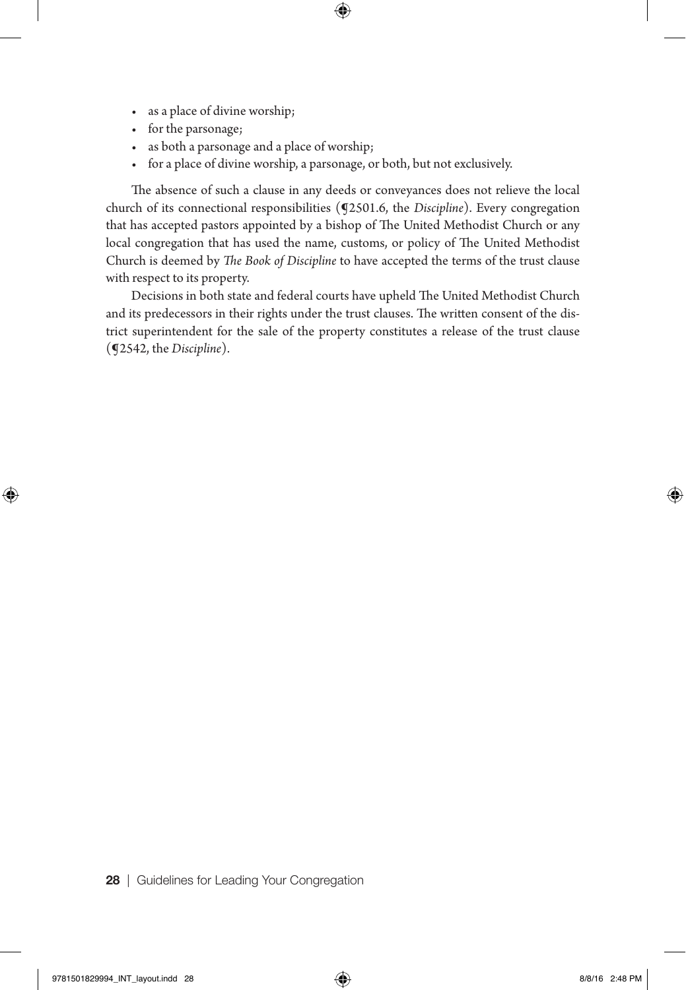- as a place of divine worship;
- for the parsonage;
- as both a parsonage and a place of worship;
- for a place of divine worship, a parsonage, or both, but not exclusively.

The absence of such a clause in any deeds or conveyances does not relieve the local church of its connectional responsibilities (¶2501.6, the *Discipline*). Every congregation that has accepted pastors appointed by a bishop of The United Methodist Church or any local congregation that has used the name, customs, or policy of The United Methodist Church is deemed by *The Book of Discipline* to have accepted the terms of the trust clause with respect to its property.

Decisions in both state and federal courts have upheld The United Methodist Church and its predecessors in their rights under the trust clauses. The written consent of the district superintendent for the sale of the property constitutes a release of the trust clause (¶2542, the *Discipline*).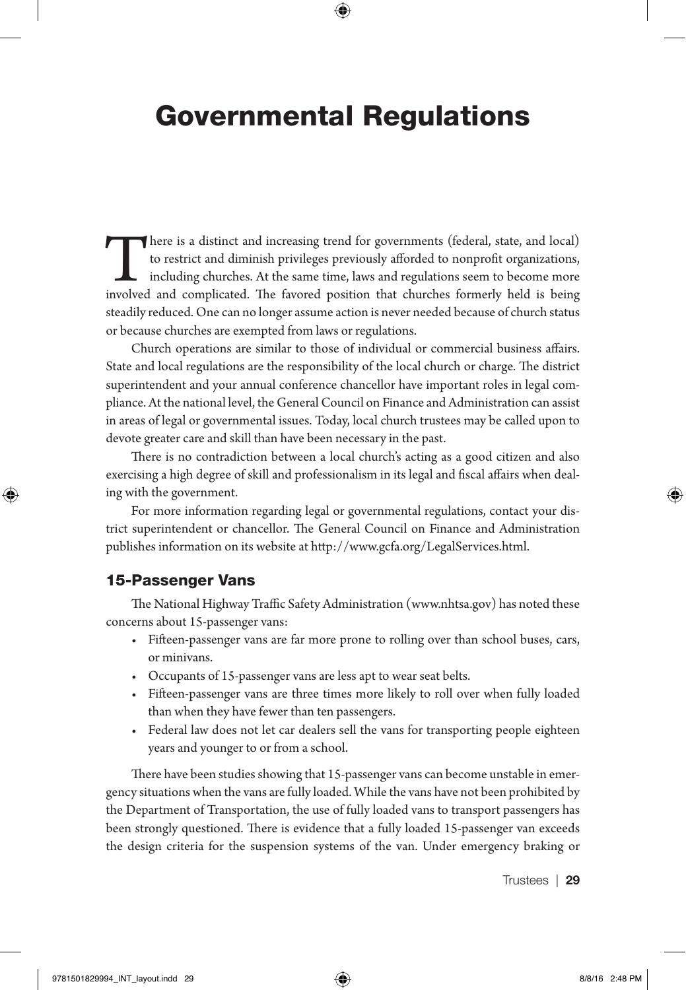## Governmental Regulations

There is a distinct and increasing trend for governments (federal, state, and local) to restrict and diminish privileges previously afforded to nonprofit organizations, including churches. At the same time, laws and regulations seem to become more involved and complicated. The favored position that churches formerly held is being steadily reduced. One can no longer assume action is never needed because of church status or because churches are exempted from laws or regulations.

Church operations are similar to those of individual or commercial business affairs. State and local regulations are the responsibility of the local church or charge. The district superintendent and your annual conference chancellor have important roles in legal compliance. At the national level, the General Council on Finance and Administration can assist in areas of legal or governmental issues. Today, local church trustees may be called upon to devote greater care and skill than have been necessary in the past.

There is no contradiction between a local church's acting as a good citizen and also exercising a high degree of skill and professionalism in its legal and fiscal affairs when dealing with the government.

For more information regarding legal or governmental regulations, contact your district superintendent or chancellor. The General Council on Finance and Administration publishes information on its website at http://www.gcfa.org/LegalServices.html.

#### 15-Passenger Vans

The National Highway Traffic Safety Administration (www.nhtsa.gov) has noted these concerns about 15-passenger vans:

- Fifteen-passenger vans are far more prone to rolling over than school buses, cars, or minivans.
- Occupants of 15-passenger vans are less apt to wear seat belts.
- Fifteen-passenger vans are three times more likely to roll over when fully loaded than when they have fewer than ten passengers.
- Federal law does not let car dealers sell the vans for transporting people eighteen years and younger to or from a school.

There have been studies showing that 15-passenger vans can become unstable in emergency situations when the vans are fully loaded. While the vans have not been prohibited by the Department of Transportation, the use of fully loaded vans to transport passengers has been strongly questioned. There is evidence that a fully loaded 15-passenger van exceeds the design criteria for the suspension systems of the van. Under emergency braking or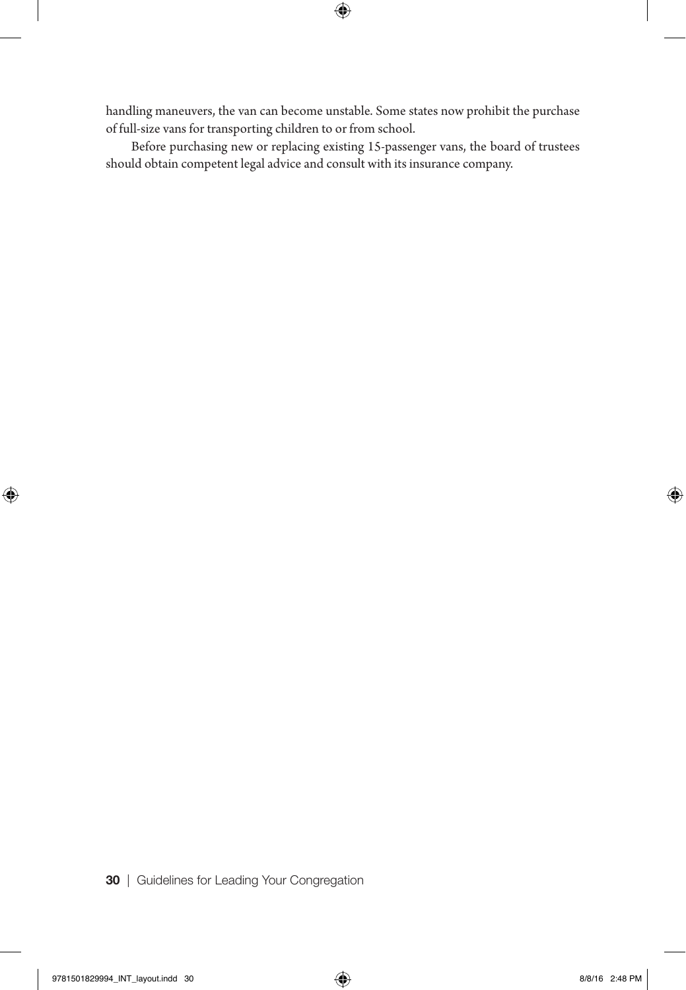handling maneuvers, the van can become unstable. Some states now prohibit the purchase of full-size vans for transporting children to or from school.

Before purchasing new or replacing existing 15-passenger vans, the board of trustees should obtain competent legal advice and consult with its insurance company.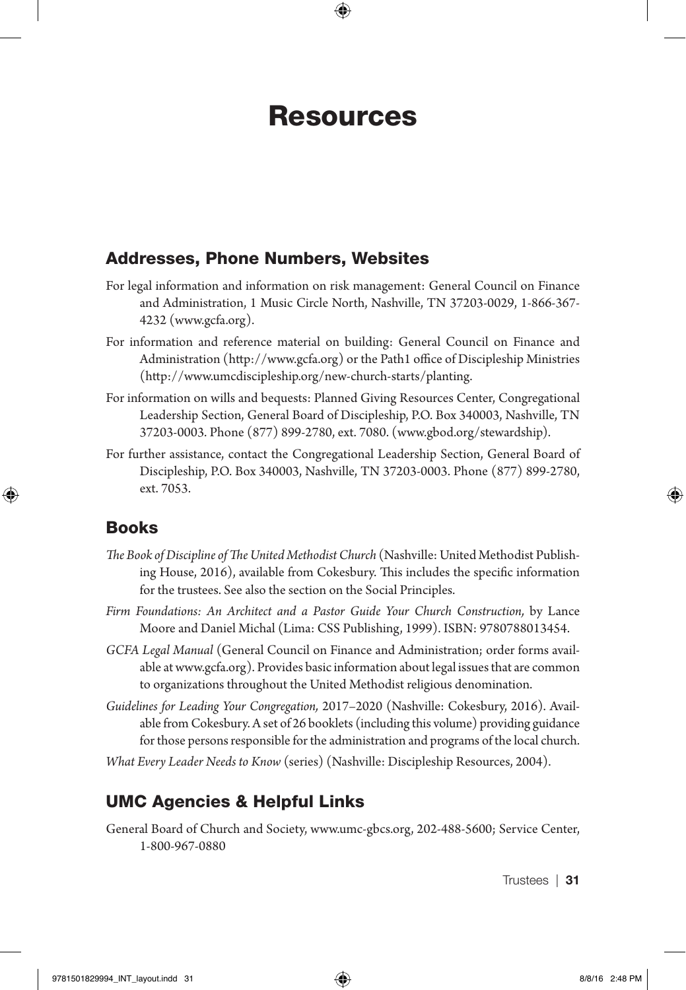### Resources

#### Addresses, Phone Numbers, Websites

- For legal information and information on risk management: General Council on Finance and Administration, 1 Music Circle North, Nashville, TN 37203-0029, 1-866-367- 4232 (www.gcfa.org).
- For information and reference material on building: General Council on Finance and Administration (http://www.gcfa.org) or the Path1 office of Discipleship Ministries (http://www.umcdiscipleship.org/new-church-starts/planting.
- For information on wills and bequests: Planned Giving Resources Center, Congregational Leadership Section, General Board of Discipleship, P.O. Box 340003, Nashville, TN 37203-0003. Phone (877) 899-2780, ext. 7080. (www.gbod.org/stewardship).
- For further assistance, contact the Congregational Leadership Section, General Board of Discipleship, P.O. Box 340003, Nashville, TN 37203-0003. Phone (877) 899-2780, ext. 7053.

#### Books

- *The Book of Discipline of The United Methodist Church* (Nashville: United Methodist Publishing House, 2016), available from Cokesbury. This includes the specific information for the trustees. See also the section on the Social Principles.
- *Firm Foundations: An Architect and a Pastor Guide Your Church Construction,* by Lance Moore and Daniel Michal (Lima: CSS Publishing, 1999). ISBN: 9780788013454.
- *GCFA Legal Manual* (General Council on Finance and Administration; order forms available at www.gcfa.org). Provides basic information about legal issues that are common to organizations throughout the United Methodist religious denomination.
- *Guidelines for Leading Your Congregation,* 2017–2020 (Nashville: Cokesbury, 2016). Available from Cokesbury. A set of 26 booklets (including this volume) providing guidance for those persons responsible for the administration and programs of the local church.
- *What Every Leader Needs to Know* (series) (Nashville: Discipleship Resources, 2004).

#### UMC Agencies & Helpful Links

General Board of Church and Society, www.umc-gbcs.org, 202-488-5600; Service Center, 1-800-967-0880